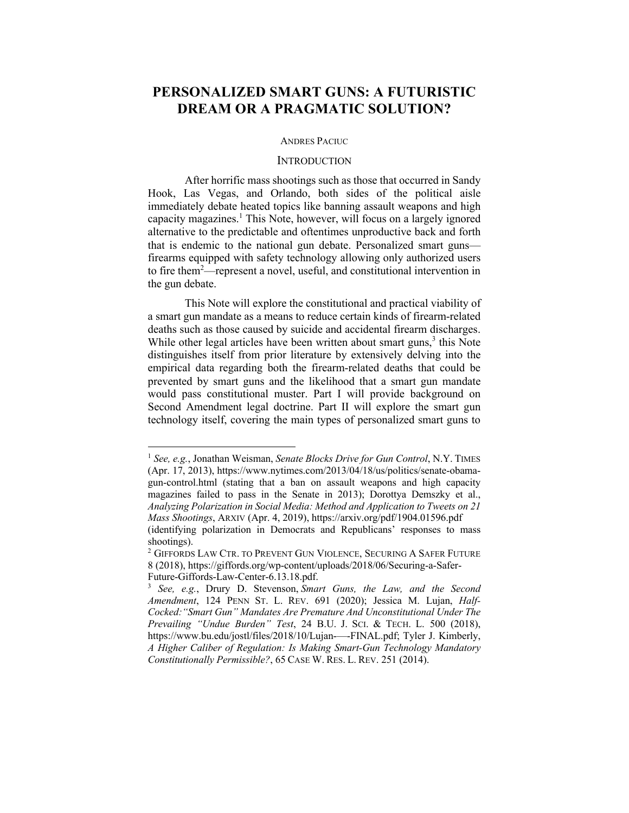# **PERSONALIZED SMART GUNS: A FUTURISTIC DREAM OR A PRAGMATIC SOLUTION?**

#### ANDRES PACIUC

## **INTRODUCTION**

After horrific mass shootings such as those that occurred in Sandy Hook, Las Vegas, and Orlando, both sides of the political aisle immediately debate heated topics like banning assault weapons and high capacity magazines.<sup>1</sup> This Note, however, will focus on a largely ignored alternative to the predictable and oftentimes unproductive back and forth that is endemic to the national gun debate. Personalized smart guns firearms equipped with safety technology allowing only authorized users to fire them2 —represent a novel, useful, and constitutional intervention in the gun debate.

This Note will explore the constitutional and practical viability of a smart gun mandate as a means to reduce certain kinds of firearm-related deaths such as those caused by suicide and accidental firearm discharges. While other legal articles have been written about smart guns, $3$  this Note distinguishes itself from prior literature by extensively delving into the empirical data regarding both the firearm-related deaths that could be prevented by smart guns and the likelihood that a smart gun mandate would pass constitutional muster. Part I will provide background on Second Amendment legal doctrine. Part II will explore the smart gun technology itself, covering the main types of personalized smart guns to

<sup>1</sup> *See, e.g.*, Jonathan Weisman, *Senate Blocks Drive for Gun Control*, N.Y. TIMES (Apr. 17, 2013), https://www.nytimes.com/2013/04/18/us/politics/senate-obamagun-control.html (stating that a ban on assault weapons and high capacity magazines failed to pass in the Senate in 2013); Dorottya Demszky et al., *Analyzing Polarization in Social Media: Method and Application to Tweets on 21 Mass Shootings*, ARXIV (Apr. 4, 2019), https://arxiv.org/pdf/1904.01596.pdf

<sup>(</sup>identifying polarization in Democrats and Republicans' responses to mass shootings).

<sup>&</sup>lt;sup>2</sup> GIFFORDS LAW CTR. TO PREVENT GUN VIOLENCE, SECURING A SAFER FUTURE 8 (2018), https://giffords.org/wp-content/uploads/2018/06/Securing-a-Safer-Future-Giffords-Law-Center-6.13.18.pdf.

<sup>3</sup> *See, e.g.*, Drury D. Stevenson, *Smart Guns, the Law, and the Second Amendment*, 124 PENN ST. L. REV. 691 (2020); Jessica M. Lujan, *Half-Cocked:"Smart Gun" Mandates Are Premature And Unconstitutional Under The Prevailing "Undue Burden" Test*, 24 B.U. J. SCI. & TECH. L. 500 (2018), https://www.bu.edu/jostl/files/2018/10/Lujan-—-FINAL.pdf; Tyler J. Kimberly, *A Higher Caliber of Regulation: Is Making Smart-Gun Technology Mandatory Constitutionally Permissible?*, 65 CASE W. RES. L. REV. 251 (2014).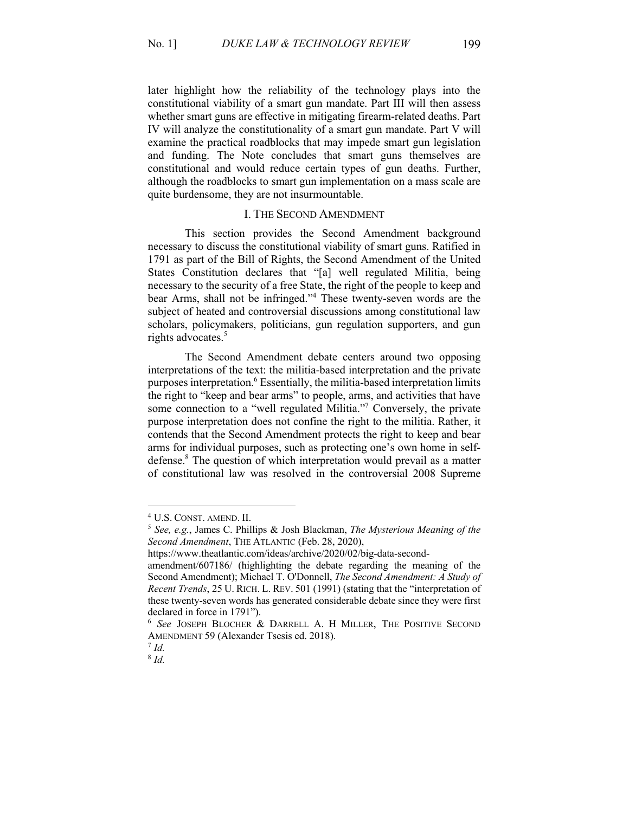later highlight how the reliability of the technology plays into the constitutional viability of a smart gun mandate. Part III will then assess whether smart guns are effective in mitigating firearm-related deaths. Part IV will analyze the constitutionality of a smart gun mandate. Part V will examine the practical roadblocks that may impede smart gun legislation and funding. The Note concludes that smart guns themselves are constitutional and would reduce certain types of gun deaths. Further, although the roadblocks to smart gun implementation on a mass scale are quite burdensome, they are not insurmountable.

## I. THE SECOND AMENDMENT

This section provides the Second Amendment background necessary to discuss the constitutional viability of smart guns. Ratified in 1791 as part of the Bill of Rights, the Second Amendment of the United States Constitution declares that "[a] well regulated Militia, being necessary to the security of a free State, the right of the people to keep and bear Arms, shall not be infringed."<sup>4</sup> These twenty-seven words are the subject of heated and controversial discussions among constitutional law scholars, policymakers, politicians, gun regulation supporters, and gun rights advocates.<sup>5</sup>

The Second Amendment debate centers around two opposing interpretations of the text: the militia-based interpretation and the private purposes interpretation.<sup>6</sup> Essentially, the militia-based interpretation limits the right to "keep and bear arms" to people, arms, and activities that have some connection to a "well regulated Militia."<sup>7</sup> Conversely, the private purpose interpretation does not confine the right to the militia. Rather, it contends that the Second Amendment protects the right to keep and bear arms for individual purposes, such as protecting one's own home in selfdefense. <sup>8</sup> The question of which interpretation would prevail as a matter of constitutional law was resolved in the controversial 2008 Supreme

<sup>4</sup> U.S. CONST. AMEND. II.

<sup>5</sup> *See, e.g.*, James C. Phillips & Josh Blackman, *The Mysterious Meaning of the Second Amendment*, THE ATLANTIC (Feb. 28, 2020),

https://www.theatlantic.com/ideas/archive/2020/02/big-data-second-

amendment/607186/ (highlighting the debate regarding the meaning of the Second Amendment); Michael T. O'Donnell, *The Second Amendment: A Study of Recent Trends*, 25 U. RICH. L. REV. 501 (1991) (stating that the "interpretation of these twenty-seven words has generated considerable debate since they were first declared in force in 1791").<br><sup>6</sup> *See* JOSEPH BLOCHER & DARRELL A. H MILLER, THE POSITIVE SECOND

AMENDMENT 59 (Alexander Tsesis ed. 2018).

 $^7$  *Id.* 

<sup>8</sup> *Id.*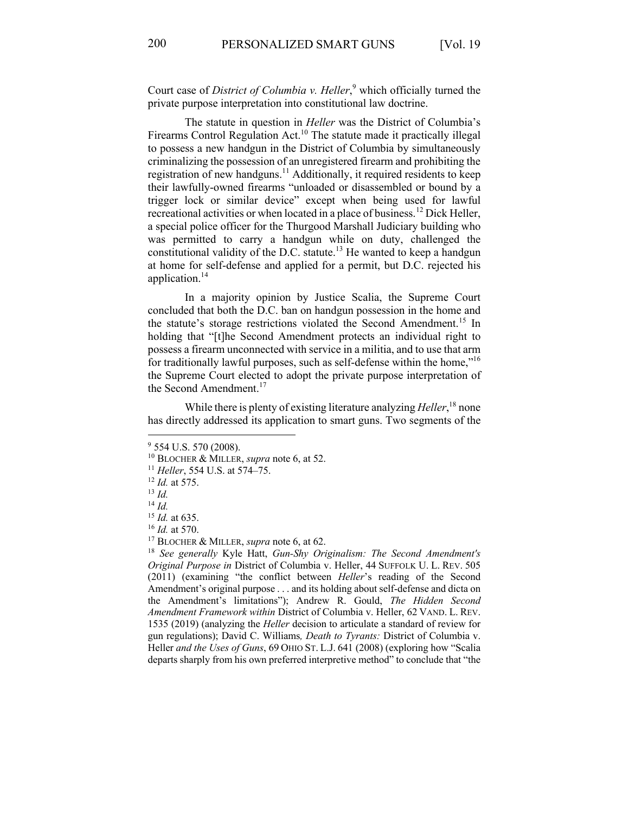Court case of *District of Columbia v. Heller*, <sup>9</sup> which officially turned the private purpose interpretation into constitutional law doctrine.

The statute in question in *Heller* was the District of Columbia's Firearms Control Regulation Act.<sup>10</sup> The statute made it practically illegal to possess a new handgun in the District of Columbia by simultaneously criminalizing the possession of an unregistered firearm and prohibiting the registration of new handguns.<sup>11</sup> Additionally, it required residents to keep their lawfully-owned firearms "unloaded or disassembled or bound by a trigger lock or similar device" except when being used for lawful recreational activities or when located in a place of business.<sup>12</sup> Dick Heller, a special police officer for the Thurgood Marshall Judiciary building who was permitted to carry a handgun while on duty, challenged the constitutional validity of the D.C. statute.<sup>13</sup> He wanted to keep a handgun at home for self-defense and applied for a permit, but D.C. rejected his application.14

In a majority opinion by Justice Scalia, the Supreme Court concluded that both the D.C. ban on handgun possession in the home and the statute's storage restrictions violated the Second Amendment.<sup>15</sup> In holding that "[t]he Second Amendment protects an individual right to possess a firearm unconnected with service in a militia, and to use that arm for traditionally lawful purposes, such as self-defense within the home,"<sup>16</sup> the Supreme Court elected to adopt the private purpose interpretation of the Second Amendment.<sup>17</sup>

While there is plenty of existing literature analyzing *Heller*, <sup>18</sup> none has directly addressed its application to smart guns. Two segments of the

<sup>16</sup> *Id.* at 570.

<sup>&</sup>lt;sup>9</sup> 554 U.S. 570 (2008).

<sup>10</sup> BLOCHER & MILLER, *supra* note 6, at 52.

<sup>11</sup> *Heller*, 554 U.S. at 574–75.

<sup>12</sup> *Id.* at 575.

<sup>13</sup> *Id.*

<sup>14</sup> *Id.*

<sup>15</sup> *Id.* at 635.

<sup>17</sup> BLOCHER & MILLER, *supra* note 6, at 62.

<sup>18</sup> *See generally* Kyle Hatt, *Gun-Shy Originalism: The Second Amendment's Original Purpose in* District of Columbia v. Heller, 44 SUFFOLK U. L. REV. 505 (2011) (examining "the conflict between *Heller*'s reading of the Second Amendment's original purpose . . . and its holding about self-defense and dicta on the Amendment's limitations"); Andrew R. Gould, *The Hidden Second Amendment Framework within* District of Columbia v. Heller, 62 VAND. L. REV. 1535 (2019) (analyzing the *Heller* decision to articulate a standard of review for gun regulations); David C. Williams*, Death to Tyrants:* District of Columbia v. Heller *and the Uses of Guns*, 69 OHIO ST. L.J. 641 (2008) (exploring how "Scalia departs sharply from his own preferred interpretive method" to conclude that "the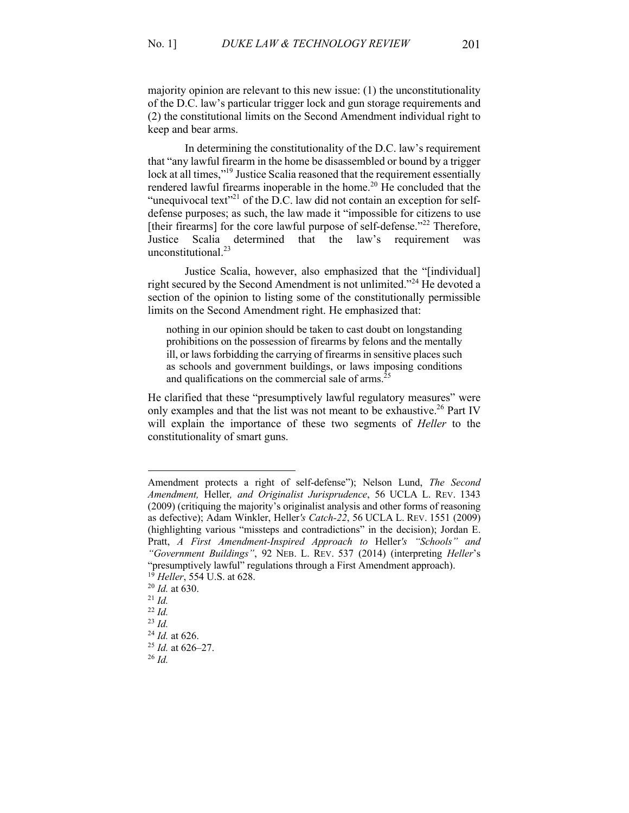majority opinion are relevant to this new issue: (1) the unconstitutionality of the D.C. law's particular trigger lock and gun storage requirements and (2) the constitutional limits on the Second Amendment individual right to keep and bear arms.

In determining the constitutionality of the D.C. law's requirement that "any lawful firearm in the home be disassembled or bound by a trigger lock at all times,"<sup>19</sup> Justice Scalia reasoned that the requirement essentially rendered lawful firearms inoperable in the home.<sup>20</sup> He concluded that the "unequivocal text"<sup>21</sup> of the D.C. law did not contain an exception for selfdefense purposes; as such, the law made it "impossible for citizens to use [their firearms] for the core lawful purpose of self-defense."<sup>22</sup> Therefore, Justice Scalia determined that the law's requirement was unconstitutional.<sup>23</sup>

Justice Scalia, however, also emphasized that the "[individual] right secured by the Second Amendment is not unlimited."<sup>24</sup> He devoted a section of the opinion to listing some of the constitutionally permissible limits on the Second Amendment right. He emphasized that:

nothing in our opinion should be taken to cast doubt on longstanding prohibitions on the possession of firearms by felons and the mentally ill, or laws forbidding the carrying of firearms in sensitive places such as schools and government buildings, or laws imposing conditions and qualifications on the commercial sale of arms.<sup>25</sup>

He clarified that these "presumptively lawful regulatory measures" were only examples and that the list was not meant to be exhaustive.<sup>26</sup> Part IV will explain the importance of these two segments of *Heller* to the constitutionality of smart guns.

Amendment protects a right of self-defense"); Nelson Lund, *The Second Amendment,* Heller*, and Originalist Jurisprudence*, 56 UCLA L. REV. 1343 (2009) (critiquing the majority's originalist analysis and other forms of reasoning as defective); Adam Winkler, Heller*'s Catch-22*, 56 UCLA L. REV. 1551 (2009) (highlighting various "missteps and contradictions" in the decision); Jordan E. Pratt, *A First Amendment-Inspired Approach to* Heller*'s "Schools" and "Government Buildings"*, 92 NEB. L. REV. 537 (2014) (interpreting *Heller*'s "presumptively lawful" regulations through a First Amendment approach). <sup>19</sup> *Heller*, 554 U.S. at 628.

<sup>20</sup> *Id.* at 630. <sup>21</sup> *Id.* <sup>22</sup> *Id.* <sup>23</sup> *Id.* <sup>24</sup> *Id.* at 626.

<sup>25</sup> *Id.* at 626–27.

<sup>26</sup> *Id.*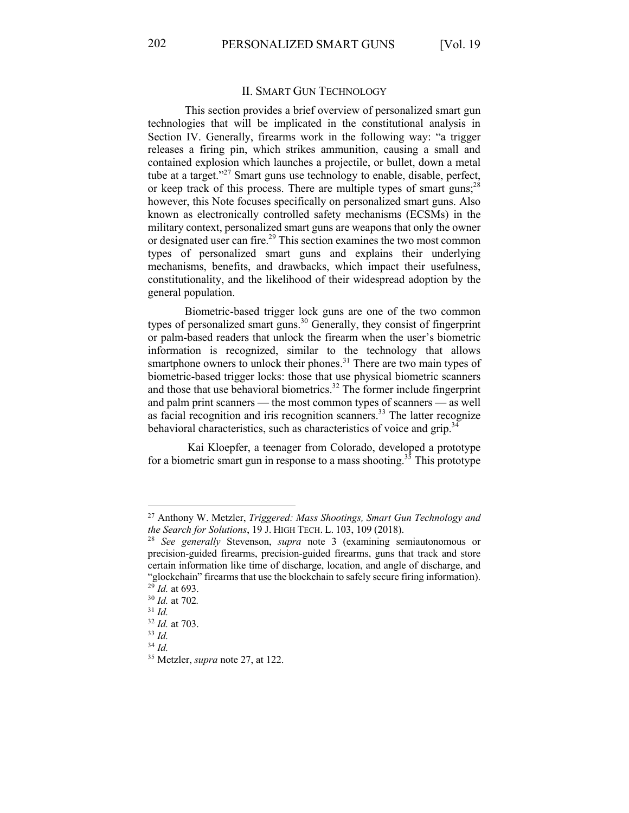#### II. SMART GUN TECHNOLOGY

This section provides a brief overview of personalized smart gun technologies that will be implicated in the constitutional analysis in Section IV. Generally, firearms work in the following way: "a trigger releases a firing pin, which strikes ammunition, causing a small and contained explosion which launches a projectile, or bullet, down a metal tube at a target."<sup>27</sup> Smart guns use technology to enable, disable, perfect, or keep track of this process. There are multiple types of smart guns;<sup>28</sup> however, this Note focuses specifically on personalized smart guns. Also known as electronically controlled safety mechanisms (ECSMs) in the military context, personalized smart guns are weapons that only the owner or designated user can fire.<sup>29</sup> This section examines the two most common types of personalized smart guns and explains their underlying mechanisms, benefits, and drawbacks, which impact their usefulness, constitutionality, and the likelihood of their widespread adoption by the general population.

Biometric-based trigger lock guns are one of the two common types of personalized smart guns.<sup>30</sup> Generally, they consist of fingerprint or palm-based readers that unlock the firearm when the user's biometric information is recognized, similar to the technology that allows smartphone owners to unlock their phones.<sup>31</sup> There are two main types of biometric-based trigger locks: those that use physical biometric scanners and those that use behavioral biometrics.<sup>32</sup> The former include fingerprint and palm print scanners — the most common types of scanners — as well as facial recognition and iris recognition scanners.<sup>33</sup> The latter recognize behavioral characteristics, such as characteristics of voice and grip.<sup>34</sup>

Kai Kloepfer, a teenager from Colorado, developed a prototype for a biometric smart gun in response to a mass shooting.<sup>35</sup> This prototype

<sup>27</sup> Anthony W. Metzler, *Triggered: Mass Shootings, Smart Gun Technology and the Search for Solutions*, 19 J. HIGH TECH. L. 103, 109 (2018).

<sup>28</sup> *See generally* Stevenson, *supra* note 3 (examining semiautonomous or precision-guided firearms, precision-guided firearms, guns that track and store certain information like time of discharge, location, and angle of discharge, and "glockchain" firearms that use the blockchain to safely secure firing information).  $^{29}$ *Id.* at 693.

<sup>30</sup> *Id.* at 702*.*

<sup>31</sup> *Id.*

<sup>32</sup> *Id.* at 703.

<sup>33</sup> *Id.*

<sup>34</sup> *Id.*

<sup>35</sup> Metzler, *supra* note 27, at 122.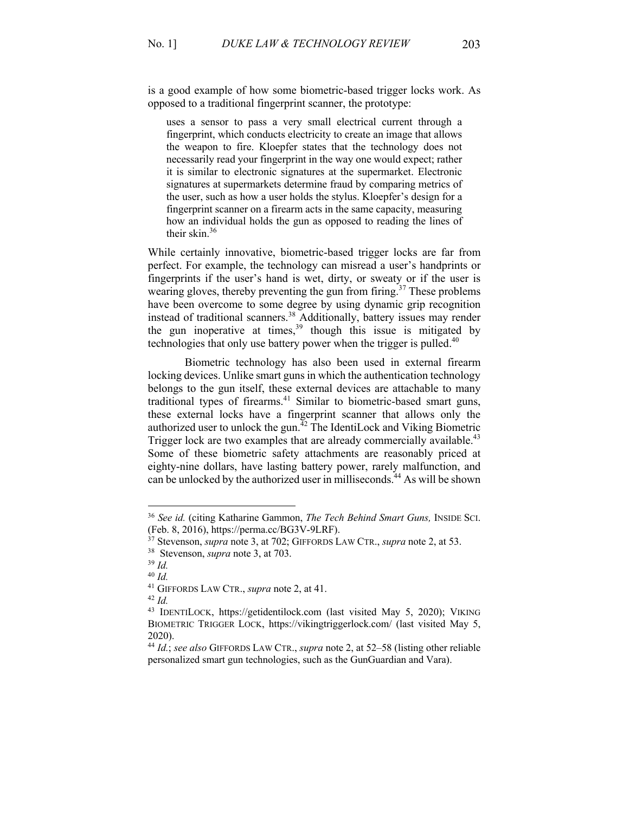is a good example of how some biometric-based trigger locks work. As opposed to a traditional fingerprint scanner, the prototype:

uses a sensor to pass a very small electrical current through a fingerprint, which conducts electricity to create an image that allows the weapon to fire. Kloepfer states that the technology does not necessarily read your fingerprint in the way one would expect; rather it is similar to electronic signatures at the supermarket. Electronic signatures at supermarkets determine fraud by comparing metrics of the user, such as how a user holds the stylus. Kloepfer's design for a fingerprint scanner on a firearm acts in the same capacity, measuring how an individual holds the gun as opposed to reading the lines of their skin.<sup>36</sup>

While certainly innovative, biometric-based trigger locks are far from perfect. For example, the technology can misread a user's handprints or fingerprints if the user's hand is wet, dirty, or sweaty or if the user is wearing gloves, thereby preventing the gun from firing.<sup>37</sup> These problems have been overcome to some degree by using dynamic grip recognition instead of traditional scanners.<sup>38</sup> Additionally, battery issues may render the gun inoperative at times,<sup>39</sup> though this issue is mitigated by technologies that only use battery power when the trigger is pulled.<sup>40</sup>

Biometric technology has also been used in external firearm locking devices. Unlike smart guns in which the authentication technology belongs to the gun itself, these external devices are attachable to many traditional types of firearms.<sup>41</sup> Similar to biometric-based smart guns, these external locks have a fingerprint scanner that allows only the authorized user to unlock the gun.<sup> $42$ </sup> The IdentiLock and Viking Biometric Trigger lock are two examples that are already commercially available.<sup>43</sup> Some of these biometric safety attachments are reasonably priced at eighty-nine dollars, have lasting battery power, rarely malfunction, and can be unlocked by the authorized user in milliseconds.<sup>44</sup> As will be shown

<sup>40</sup> *Id.*

<sup>36</sup> *See id.* (citing Katharine Gammon, *The Tech Behind Smart Guns,* INSIDE SCI. (Feb. 8, 2016), https://perma.cc/BG3V-9LRF).

<sup>37</sup> Stevenson, *supra* note 3, at 702; GIFFORDS LAW CTR., *supra* note 2, at 53.

<sup>38</sup> Stevenson, *supra* note 3, at 703.

<sup>39</sup> *Id.*

<sup>41</sup> GIFFORDS LAW CTR., *supra* note 2, at 41.

<sup>42</sup> *Id.*

<sup>43</sup> IDENTILOCK, https://getidentilock.com (last visited May 5, 2020); VIKING BIOMETRIC TRIGGER LOCK, https://vikingtriggerlock.com/ (last visited May 5, 2020).

<sup>44</sup> *Id.*; *see also* GIFFORDS LAW CTR., *supra* note 2, at 52–58 (listing other reliable personalized smart gun technologies, such as the GunGuardian and Vara).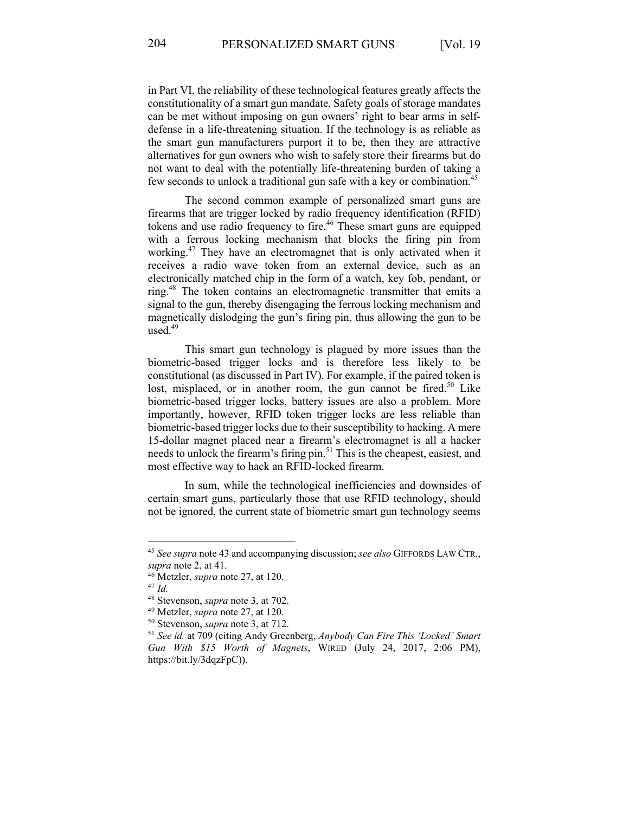in Part VI, the reliability of these technological features greatly affects the constitutionality of a smart gun mandate. Safety goals of storage mandates can be met without imposing on gun owners' right to bear arms in selfdefense in a life-threatening situation. If the technology is as reliable as the smart gun manufacturers purport it to be, then they are attractive alternatives for gun owners who wish to safely store their firearms but do not want to deal with the potentially life-threatening burden of taking a few seconds to unlock a traditional gun safe with a key or combination.<sup>45</sup>

The second common example of personalized smart guns are firearms that are trigger locked by radio frequency identification (RFID) tokens and use radio frequency to fire.<sup>46</sup> These smart guns are equipped with a ferrous locking mechanism that blocks the firing pin from working.<sup>47</sup> They have an electromagnet that is only activated when it receives a radio wave token from an external device, such as an electronically matched chip in the form of a watch, key fob, pendant, or ring.48 The token contains an electromagnetic transmitter that emits a signal to the gun, thereby disengaging the ferrous locking mechanism and magnetically dislodging the gun's firing pin, thus allowing the gun to be used.49

This smart gun technology is plagued by more issues than the biometric-based trigger locks and is therefore less likely to be constitutional (as discussed in Part IV). For example, if the paired token is lost, misplaced, or in another room, the gun cannot be fired.<sup>50</sup> Like biometric-based trigger locks, battery issues are also a problem. More importantly, however, RFID token trigger locks are less reliable than biometric-based trigger locks due to their susceptibility to hacking. A mere 15-dollar magnet placed near a firearm's electromagnet is all a hacker needs to unlock the firearm's firing pin.<sup>51</sup> This is the cheapest, easiest, and most effective way to hack an RFID-locked firearm.

In sum, while the technological inefficiencies and downsides of certain smart guns, particularly those that use RFID technology, should not be ignored, the current state of biometric smart gun technology seems

<sup>45</sup> *See supra* note 43 and accompanying discussion; *see also* GIFFORDS LAW CTR., *supra* note 2, at 41.

<sup>46</sup> Metzler, *supra* note 27, at 120.

<sup>47</sup> *Id.*

<sup>48</sup> Stevenson, *supra* note 3, at 702.

<sup>49</sup> Metzler, *supra* note 27, at 120.

<sup>50</sup> Stevenson, *supra* note 3, at 712. 51 *See id.* at 709 (citing Andy Greenberg, *Anybody Can Fire This 'Locked' Smart Gun With \$15 Worth of Magnets*, WIRED (July 24, 2017, 2:06 PM), https://bit.ly/3dqzFpC)).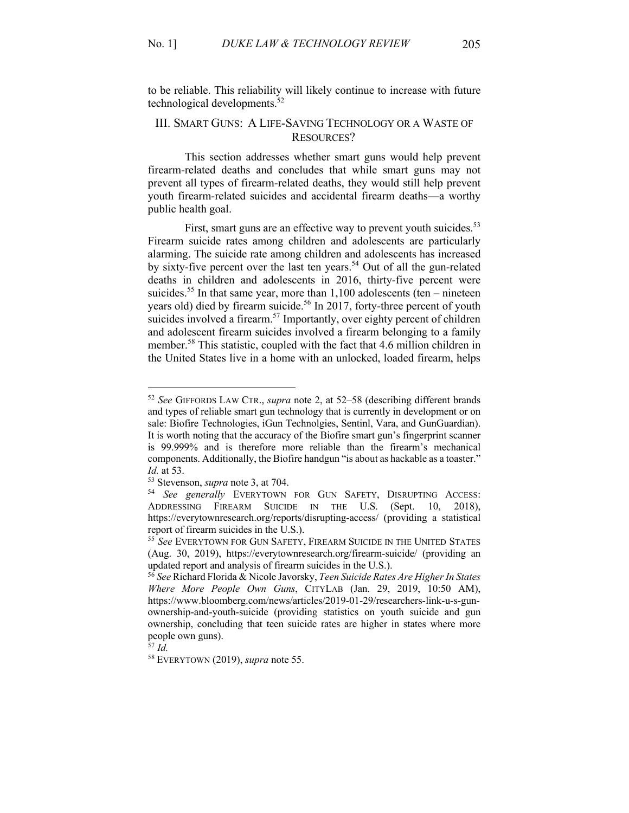to be reliable. This reliability will likely continue to increase with future technological developments. 52

## III. SMART GUNS: A LIFE-SAVING TECHNOLOGY OR A WASTE OF RESOURCES?

This section addresses whether smart guns would help prevent firearm-related deaths and concludes that while smart guns may not prevent all types of firearm-related deaths, they would still help prevent youth firearm-related suicides and accidental firearm deaths—a worthy public health goal.

First, smart guns are an effective way to prevent youth suicides.<sup>53</sup> Firearm suicide rates among children and adolescents are particularly alarming. The suicide rate among children and adolescents has increased by sixty-five percent over the last ten years.<sup>54</sup> Out of all the gun-related deaths in children and adolescents in 2016, thirty-five percent were suicides.<sup>55</sup> In that same year, more than  $1,100$  adolescents (ten – nineteen years old) died by firearm suicide.<sup>56</sup> In 2017, forty-three percent of youth suicides involved a firearm.<sup>57</sup> Importantly, over eighty percent of children and adolescent firearm suicides involved a firearm belonging to a family member.<sup>58</sup> This statistic, coupled with the fact that 4.6 million children in the United States live in a home with an unlocked, loaded firearm, helps

<sup>57</sup> *Id.*

<sup>58</sup> EVERYTOWN (2019), *supra* note 55.

<sup>52</sup> *See* GIFFORDS LAW CTR., *supra* note 2, at 52–58 (describing different brands and types of reliable smart gun technology that is currently in development or on sale: Biofire Technologies, iGun Technolgies, Sentinl, Vara, and GunGuardian). It is worth noting that the accuracy of the Biofire smart gun's fingerprint scanner is 99.999% and is therefore more reliable than the firearm's mechanical components. Additionally, the Biofire handgun "is about as hackable as a toaster." *Id.* at 53.

<sup>53</sup> Stevenson, *supra* note 3, at 704.

<sup>54</sup> *See generally* EVERYTOWN FOR GUN SAFETY, DISRUPTING ACCESS: ADDRESSING FIREARM SUICIDE IN THE U.S. (Sept. 10, 2018), https://everytownresearch.org/reports/disrupting-access/ (providing a statistical report of firearm suicides in the U.S.).

<sup>55</sup> *See* EVERYTOWN FOR GUN SAFETY, FIREARM SUICIDE IN THE UNITED STATES (Aug. 30, 2019), https://everytownresearch.org/firearm-suicide/ (providing an updated report and analysis of firearm suicides in the U.S.).

<sup>56</sup> *See* Richard Florida & Nicole Javorsky, *Teen Suicide Rates Are Higher In States Where More People Own Guns*, CITYLAB (Jan. 29, 2019, 10:50 AM), https://www.bloomberg.com/news/articles/2019-01-29/researchers-link-u-s-gunownership-and-youth-suicide (providing statistics on youth suicide and gun ownership, concluding that teen suicide rates are higher in states where more people own guns).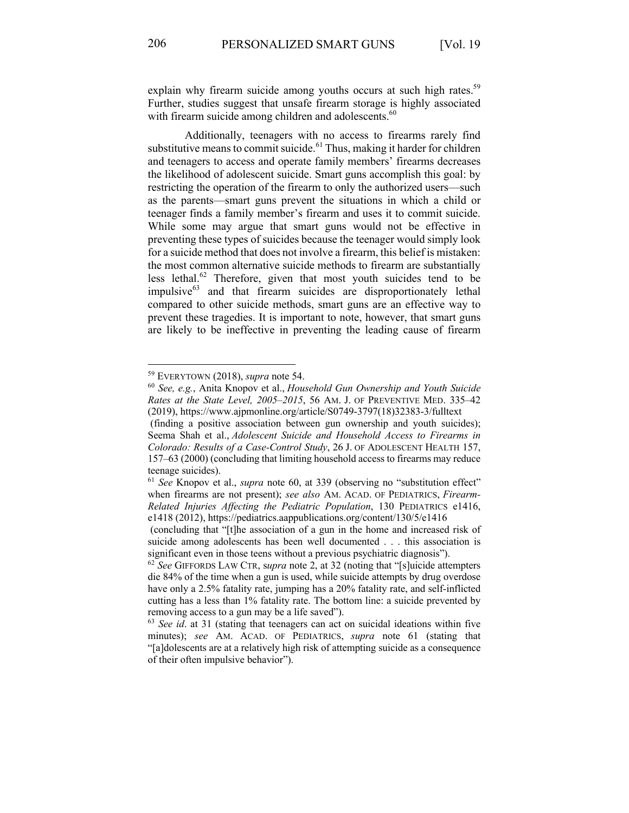explain why firearm suicide among youths occurs at such high rates.<sup>59</sup> Further, studies suggest that unsafe firearm storage is highly associated with firearm suicide among children and adolescents.<sup>60</sup>

Additionally, teenagers with no access to firearms rarely find substitutive means to commit suicide. $61$  Thus, making it harder for children and teenagers to access and operate family members' firearms decreases the likelihood of adolescent suicide. Smart guns accomplish this goal: by restricting the operation of the firearm to only the authorized users—such as the parents—smart guns prevent the situations in which a child or teenager finds a family member's firearm and uses it to commit suicide. While some may argue that smart guns would not be effective in preventing these types of suicides because the teenager would simply look for a suicide method that does not involve a firearm, this belief is mistaken: the most common alternative suicide methods to firearm are substantially less lethal.<sup>62</sup> Therefore, given that most youth suicides tend to be impulsive<sup>63</sup> and that firearm suicides are disproportionately lethal compared to other suicide methods, smart guns are an effective way to prevent these tragedies. It is important to note, however, that smart guns are likely to be ineffective in preventing the leading cause of firearm

<sup>59</sup> EVERYTOWN (2018), *supra* note 54.

<sup>60</sup> *See, e.g.*, Anita Knopov et al., *Household Gun Ownership and Youth Suicide Rates at the State Level, 2005–2015*, 56 AM. J. OF PREVENTIVE MED. 335*–*42 (2019), https://www.ajpmonline.org/article/S0749-3797(18)32383-3/fulltext

<sup>(</sup>finding a positive association between gun ownership and youth suicides); Seema Shah et al., *Adolescent Suicide and Household Access to Firearms in Colorado: Results of a Case-Control Study*, 26 J. OF ADOLESCENT HEALTH 157, 157*–*63 (2000) (concluding that limiting household access to firearms may reduce teenage suicides).

<sup>61</sup> *See* Knopov et al., *supra* note 60, at 339 (observing no "substitution effect" when firearms are not present); *see also* AM. ACAD. OF PEDIATRICS, *Firearm-Related Injuries Affecting the Pediatric Population*, 130 PEDIATRICS e1416, e1418 (2012), https://pediatrics.aappublications.org/content/130/5/e1416

<sup>(</sup>concluding that "[t]he association of a gun in the home and increased risk of suicide among adolescents has been well documented . . . this association is significant even in those teens without a previous psychiatric diagnosis"). 62 *See* GIFFORDS LAW CTR, s*upra* note 2, at 32 (noting that "[s]uicide attempters

die 84% of the time when a gun is used, while suicide attempts by drug overdose have only a 2.5% fatality rate, jumping has a 20% fatality rate, and self-inflicted cutting has a less than 1% fatality rate. The bottom line: a suicide prevented by removing access to a gun may be a life saved").

<sup>63</sup> *See id*. at 31 (stating that teenagers can act on suicidal ideations within five minutes); *see* AM. ACAD. OF PEDIATRICS, *supra* note 61 (stating that "[a]dolescents are at a relatively high risk of attempting suicide as a consequence of their often impulsive behavior").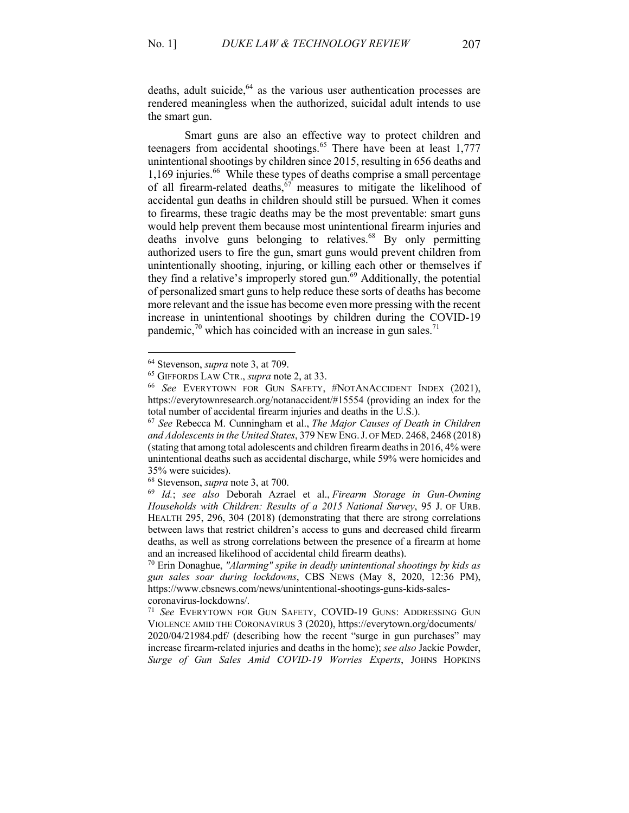deaths, adult suicide, <sup>64</sup> as the various user authentication processes are rendered meaningless when the authorized, suicidal adult intends to use the smart gun.

Smart guns are also an effective way to protect children and teenagers from accidental shootings.<sup>65</sup> There have been at least 1,777 unintentional shootings by children since 2015, resulting in 656 deaths and  $1,169$  injuries.<sup>66</sup> While these types of deaths comprise a small percentage of all firearm-related deaths,  $\delta^7$  measures to mitigate the likelihood of accidental gun deaths in children should still be pursued. When it comes to firearms, these tragic deaths may be the most preventable: smart guns would help prevent them because most unintentional firearm injuries and deaths involve guns belonging to relatives.<sup>68</sup> By only permitting authorized users to fire the gun, smart guns would prevent children from unintentionally shooting, injuring, or killing each other or themselves if they find a relative's improperly stored gun.<sup>69</sup> Additionally, the potential of personalized smart guns to help reduce these sorts of deaths has become more relevant and the issue has become even more pressing with the recent increase in unintentional shootings by children during the COVID-19 pandemic,<sup>70</sup> which has coincided with an increase in gun sales.<sup>71</sup>

<sup>64</sup> Stevenson, *supra* note 3, at 709.

<sup>65</sup> GIFFORDS LAW CTR., *supra* note 2, at 33.

<sup>66</sup> *See* EVERYTOWN FOR GUN SAFETY, #NOTANACCIDENT INDEX (2021), https://everytownresearch.org/notanaccident/#15554 (providing an index for the total number of accidental firearm injuries and deaths in the U.S.).

<sup>67</sup> *See* Rebecca M. Cunningham et al., *The Major Causes of Death in Children and Adolescents in the United States*, 379 NEW ENG.J. OF MED. 2468, 2468 (2018) (stating that among total adolescents and children firearm deaths in 2016, 4% were unintentional deaths such as accidental discharge, while 59% were homicides and 35% were suicides).

<sup>68</sup> Stevenson, *supra* note 3, at 700.

<sup>69</sup> *Id.*; *see also* Deborah Azrael et al., *Firearm Storage in Gun-Owning Households with Children: Results of a 2015 National Survey*, 95 J. OF URB. HEALTH 295, 296, 304 (2018) (demonstrating that there are strong correlations between laws that restrict children's access to guns and decreased child firearm deaths, as well as strong correlations between the presence of a firearm at home and an increased likelihood of accidental child firearm deaths).

<sup>70</sup> Erin Donaghue, *"Alarming" spike in deadly unintentional shootings by kids as gun sales soar during lockdowns*, CBS NEWS (May 8, 2020, 12:36 PM), https://www.cbsnews.com/news/unintentional-shootings-guns-kids-sales-

coronavirus-lockdowns/. 71 *See* EVERYTOWN FOR GUN SAFETY, COVID-19 GUNS: ADDRESSING GUN VIOLENCE AMID THE CORONAVIRUS 3 (2020), https://everytown.org/documents/ 2020/04/21984.pdf/ (describing how the recent "surge in gun purchases" may increase firearm-related injuries and deaths in the home); *see also* Jackie Powder, *Surge of Gun Sales Amid COVID-19 Worries Experts*, JOHNS HOPKINS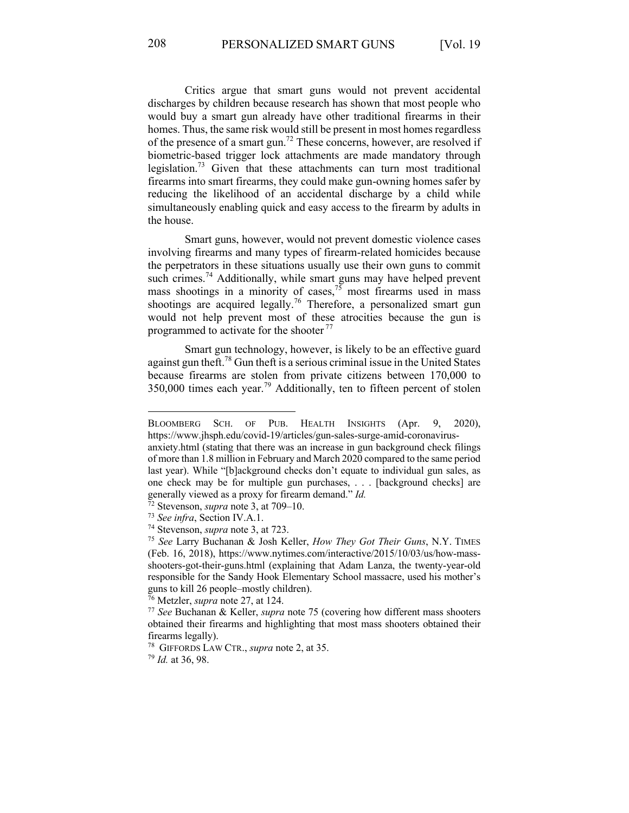Critics argue that smart guns would not prevent accidental discharges by children because research has shown that most people who would buy a smart gun already have other traditional firearms in their homes. Thus, the same risk would still be present in most homes regardless of the presence of a smart gun.<sup>72</sup> These concerns, however, are resolved if biometric-based trigger lock attachments are made mandatory through legislation.<sup>73</sup> Given that these attachments can turn most traditional firearms into smart firearms, they could make gun-owning homes safer by reducing the likelihood of an accidental discharge by a child while simultaneously enabling quick and easy access to the firearm by adults in the house.

Smart guns, however, would not prevent domestic violence cases involving firearms and many types of firearm-related homicides because the perpetrators in these situations usually use their own guns to commit such crimes.<sup>74</sup> Additionally, while smart guns may have helped prevent mass shootings in a minority of cases,  $\frac{75}{15}$  most firearms used in mass shootings are acquired legally.<sup>76</sup> Therefore, a personalized smart gun would not help prevent most of these atrocities because the gun is programmed to activate for the shooter  $^{77}$ 

Smart gun technology, however, is likely to be an effective guard against gun theft.<sup>78</sup> Gun theft is a serious criminal issue in the United States because firearms are stolen from private citizens between 170,000 to  $350,000$  times each year.<sup>79</sup> Additionally, ten to fifteen percent of stolen

BLOOMBERG SCH. OF PUB. HEALTH INSIGHTS (Apr. 9, 2020), https://www.jhsph.edu/covid-19/articles/gun-sales-surge-amid-coronavirusanxiety.html (stating that there was an increase in gun background check filings of more than 1.8 million in February and March 2020 compared to the same period last year). While "[b]ackground checks don't equate to individual gun sales, as one check may be for multiple gun purchases, . . . [background checks] are generally viewed as a proxy for firearm demand." *Id.*

<sup>72</sup> Stevenson, *supra* note 3, at 709–10.

<sup>73</sup> *See infra*, Section IV.A.1.

<sup>74</sup> Stevenson, *supra* note 3, at 723.

<sup>75</sup> *See* Larry Buchanan & Josh Keller, *How They Got Their Guns*, N.Y. TIMES (Feb. 16, 2018), https://www.nytimes.com/interactive/2015/10/03/us/how-massshooters-got-their-guns.html (explaining that Adam Lanza, the twenty-year-old responsible for the Sandy Hook Elementary School massacre, used his mother's guns to kill 26 people–mostly children). 76 Metzler, *supra* note 27, at 124.

<sup>77</sup> *See* Buchanan & Keller, *supra* note 75 (covering how different mass shooters obtained their firearms and highlighting that most mass shooters obtained their firearms legally).

<sup>78</sup> GIFFORDS LAW CTR., *supra* note 2, at 35.

<sup>79</sup> *Id.* at 36, 98.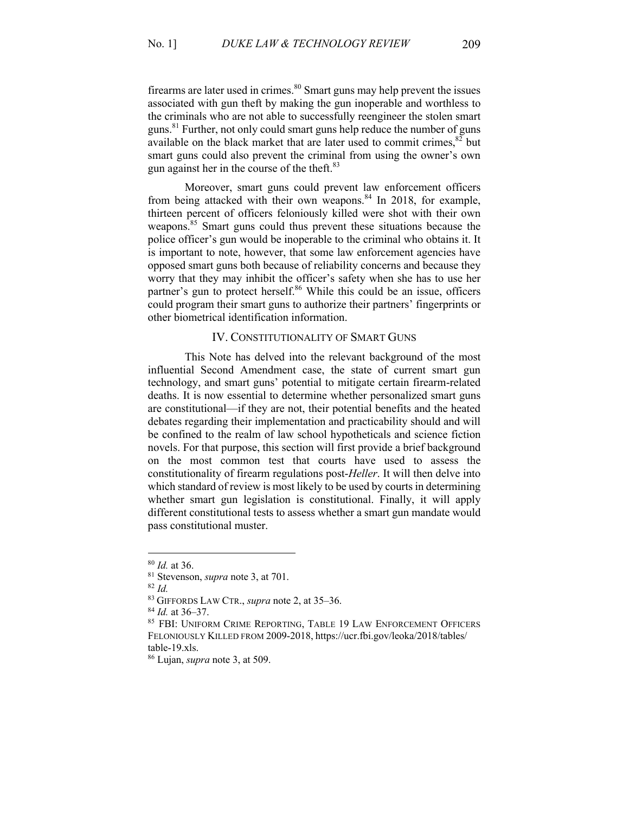firearms are later used in crimes. $80$  Smart guns may help prevent the issues associated with gun theft by making the gun inoperable and worthless to the criminals who are not able to successfully reengineer the stolen smart guns.<sup>81</sup> Further, not only could smart guns help reduce the number of guns available on the black market that are later used to commit crimes,  $8\frac{3}{2}$  but smart guns could also prevent the criminal from using the owner's own gun against her in the course of the theft.<sup>83</sup>

Moreover, smart guns could prevent law enforcement officers from being attacked with their own weapons.<sup>84</sup> In 2018, for example, thirteen percent of officers feloniously killed were shot with their own weapons.<sup>85</sup> Smart guns could thus prevent these situations because the police officer's gun would be inoperable to the criminal who obtains it. It is important to note, however, that some law enforcement agencies have opposed smart guns both because of reliability concerns and because they worry that they may inhibit the officer's safety when she has to use her partner's gun to protect herself.<sup>86</sup> While this could be an issue, officers could program their smart guns to authorize their partners' fingerprints or other biometrical identification information.

#### IV. CONSTITUTIONALITY OF SMART GUNS

This Note has delved into the relevant background of the most influential Second Amendment case, the state of current smart gun technology, and smart guns' potential to mitigate certain firearm-related deaths. It is now essential to determine whether personalized smart guns are constitutional—if they are not, their potential benefits and the heated debates regarding their implementation and practicability should and will be confined to the realm of law school hypotheticals and science fiction novels. For that purpose, this section will first provide a brief background on the most common test that courts have used to assess the constitutionality of firearm regulations post-*Heller*. It will then delve into which standard of review is most likely to be used by courts in determining whether smart gun legislation is constitutional. Finally, it will apply different constitutional tests to assess whether a smart gun mandate would pass constitutional muster.

<sup>82</sup> *Id.*

<sup>80</sup> *Id.* at 36.

<sup>81</sup> Stevenson, *supra* note 3, at 701.

<sup>83</sup> GIFFORDS LAW CTR., *supra* note 2, at 35–36.

<sup>84</sup> *Id.* at 36–37.

<sup>85</sup> FBI: UNIFORM CRIME REPORTING, TABLE 19 LAW ENFORCEMENT OFFICERS FELONIOUSLY KILLED FROM 2009-2018, https://ucr.fbi.gov/leoka/2018/tables/ table-19.xls.

<sup>86</sup> Lujan, *supra* note 3, at 509.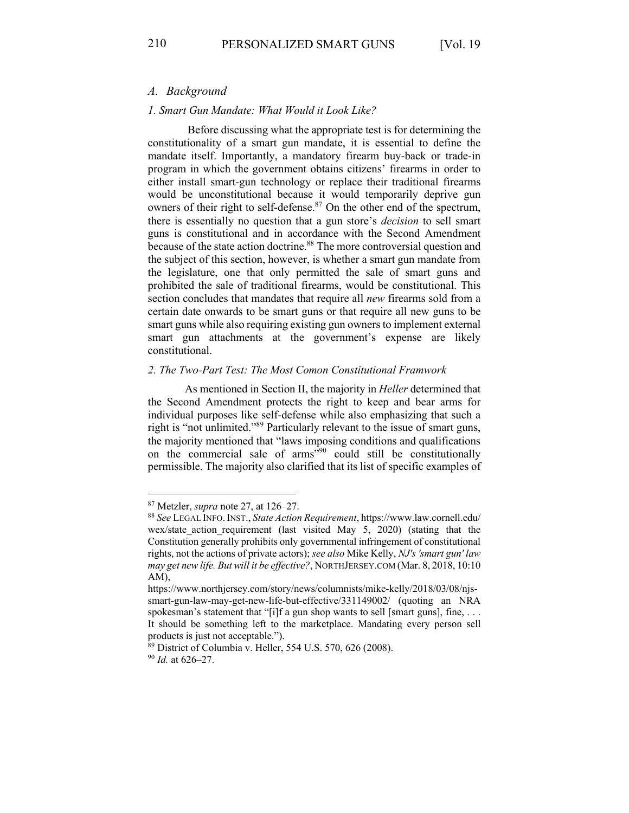#### *A. Background*

#### *1. Smart Gun Mandate: What Would it Look Like?*

Before discussing what the appropriate test is for determining the constitutionality of a smart gun mandate, it is essential to define the mandate itself. Importantly, a mandatory firearm buy-back or trade-in program in which the government obtains citizens' firearms in order to either install smart-gun technology or replace their traditional firearms would be unconstitutional because it would temporarily deprive gun owners of their right to self-defense.<sup>87</sup> On the other end of the spectrum, there is essentially no question that a gun store's *decision* to sell smart guns is constitutional and in accordance with the Second Amendment because of the state action doctrine.<sup>88</sup> The more controversial question and the subject of this section, however, is whether a smart gun mandate from the legislature, one that only permitted the sale of smart guns and prohibited the sale of traditional firearms, would be constitutional. This section concludes that mandates that require all *new* firearms sold from a certain date onwards to be smart guns or that require all new guns to be smart guns while also requiring existing gun owners to implement external smart gun attachments at the government's expense are likely constitutional.

## *2. The Two-Part Test: The Most Comon Constitutional Framwork*

As mentioned in Section II, the majority in *Heller* determined that the Second Amendment protects the right to keep and bear arms for individual purposes like self-defense while also emphasizing that such a right is "not unlimited."<sup>89</sup> Particularly relevant to the issue of smart guns, the majority mentioned that "laws imposing conditions and qualifications on the commercial sale of arms"90 could still be constitutionally permissible. The majority also clarified that its list of specific examples of

<sup>87</sup> Metzler, *supra* note 27, at 126–27.

<sup>88</sup> *See* LEGAL INFO.INST., *State Action Requirement*, https://www.law.cornell.edu/ wex/state action requirement (last visited May 5, 2020) (stating that the Constitution generally prohibits only governmental infringement of constitutional rights, not the actions of private actors); *see also* Mike Kelly, *NJ's 'smart gun' law may get new life. But will it be effective?*, NORTHJERSEY.COM (Mar. 8, 2018, 10:10 AM),

https://www.northjersey.com/story/news/columnists/mike-kelly/2018/03/08/njssmart-gun-law-may-get-new-life-but-effective/331149002/ (quoting an NRA spokesman's statement that "[i]f a gun shop wants to sell [smart guns], fine, ... It should be something left to the marketplace. Mandating every person sell products is just not acceptable.").

<sup>89</sup> District of Columbia v. Heller, 554 U.S. 570, 626 (2008).

<sup>90</sup> *Id.* at 626–27.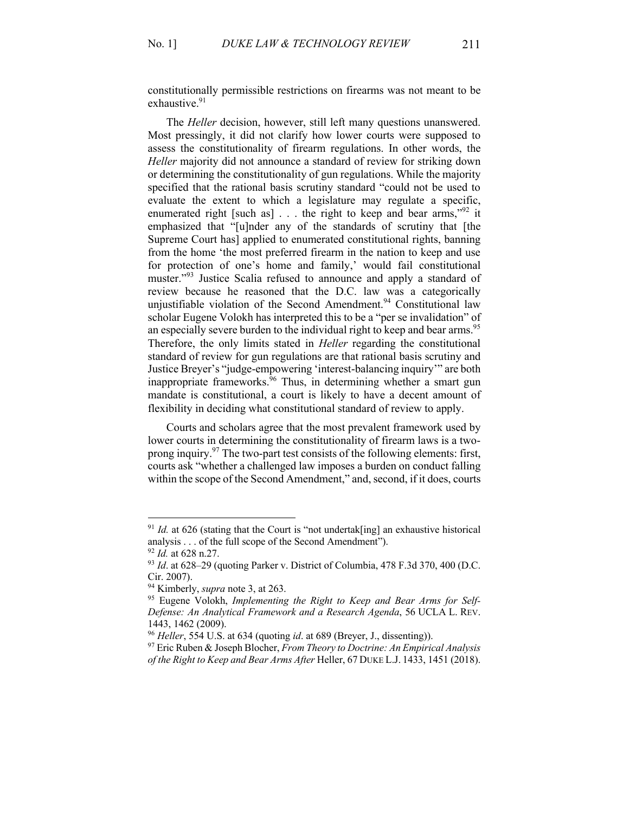constitutionally permissible restrictions on firearms was not meant to be exhaustive.<sup>91</sup>

The *Heller* decision, however, still left many questions unanswered. Most pressingly, it did not clarify how lower courts were supposed to assess the constitutionality of firearm regulations. In other words, the *Heller* majority did not announce a standard of review for striking down or determining the constitutionality of gun regulations. While the majority specified that the rational basis scrutiny standard "could not be used to evaluate the extent to which a legislature may regulate a specific, enumerated right [such as]  $\ldots$  the right to keep and bear arms,<sup>"92</sup> it emphasized that "[u]nder any of the standards of scrutiny that [the Supreme Court has] applied to enumerated constitutional rights, banning from the home 'the most preferred firearm in the nation to keep and use for protection of one's home and family,' would fail constitutional muster."<sup>93</sup> Justice Scalia refused to announce and apply a standard of review because he reasoned that the D.C. law was a categorically unjustifiable violation of the Second Amendment. <sup>94</sup> Constitutional law scholar Eugene Volokh has interpreted this to be a "per se invalidation" of an especially severe burden to the individual right to keep and bear arms.<sup>95</sup> Therefore, the only limits stated in *Heller* regarding the constitutional standard of review for gun regulations are that rational basis scrutiny and Justice Breyer's "judge-empowering 'interest-balancing inquiry'" are both inappropriate frameworks. $96$  Thus, in determining whether a smart gun mandate is constitutional, a court is likely to have a decent amount of flexibility in deciding what constitutional standard of review to apply.

Courts and scholars agree that the most prevalent framework used by lower courts in determining the constitutionality of firearm laws is a twoprong inquiry.<sup>97</sup> The two-part test consists of the following elements: first, courts ask "whether a challenged law imposes a burden on conduct falling within the scope of the Second Amendment," and, second, if it does, courts

<sup>&</sup>lt;sup>91</sup> *Id.* at 626 (stating that the Court is "not undertak[ing] an exhaustive historical analysis . . . of the full scope of the Second Amendment").

<sup>92</sup> *Id.* at 628 n.27.

<sup>93</sup> *Id*. at 628–29 (quoting Parker v. District of Columbia, 478 F.3d 370, 400 (D.C. Cir. 2007).

<sup>&</sup>lt;sup>94</sup> Kimberly, *supra* note 3, at 263.<br><sup>95</sup> Eugene Volokh, *Implementing the Right to Keep and Bear Arms for Self-Defense: An Analytical Framework and a Research Agenda*, 56 UCLA L. REV. 1443, 1462 (2009).

<sup>96</sup> *Heller*, 554 U.S. at 634 (quoting *id*. at 689 (Breyer, J., dissenting)). 97 Eric Ruben & Joseph Blocher, *From Theory to Doctrine: An Empirical Analysis* 

*of the Right to Keep and Bear Arms After* Heller, 67 DUKE L.J. 1433, 1451 (2018).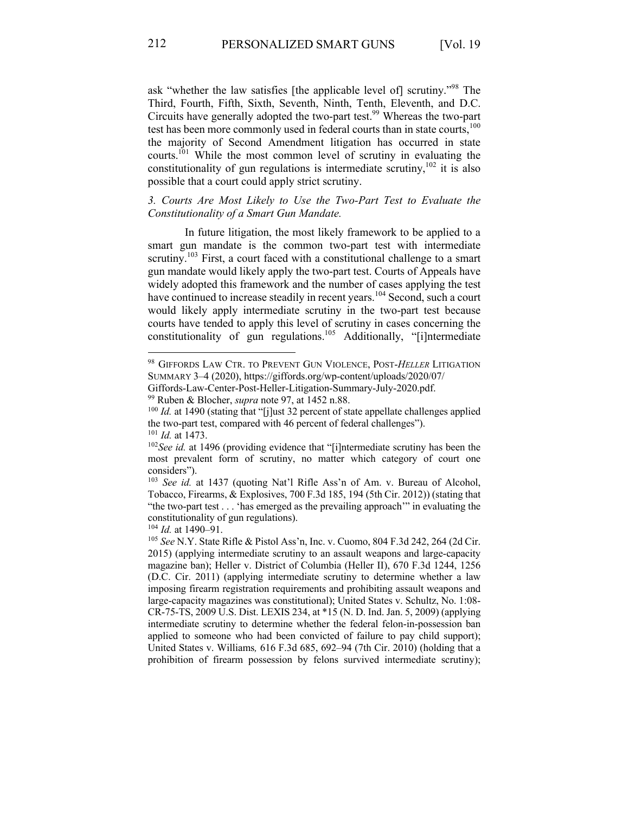212 PERSONALIZED SMART GUNS [Vol. 19

ask "whether the law satisfies [the applicable level of] scrutiny."<sup>98</sup> The Third, Fourth, Fifth, Sixth, Seventh, Ninth, Tenth, Eleventh, and D.C. Circuits have generally adopted the two-part test.<sup>99</sup> Whereas the two-part test has been more commonly used in federal courts than in state courts, $100$ the majority of Second Amendment litigation has occurred in state courts.101 While the most common level of scrutiny in evaluating the constitutionality of gun regulations is intermediate scrutiny, $102$  it is also possible that a court could apply strict scrutiny.

*3. Courts Are Most Likely to Use the Two-Part Test to Evaluate the Constitutionality of a Smart Gun Mandate.* 

In future litigation, the most likely framework to be applied to a smart gun mandate is the common two-part test with intermediate scrutiny.<sup>103</sup> First, a court faced with a constitutional challenge to a smart gun mandate would likely apply the two-part test. Courts of Appeals have widely adopted this framework and the number of cases applying the test have continued to increase steadily in recent years.<sup>104</sup> Second, such a court would likely apply intermediate scrutiny in the two-part test because courts have tended to apply this level of scrutiny in cases concerning the constitutionality of gun regulations.<sup>105</sup> Additionally, "[i]ntermediate

<sup>104</sup> *Id.* at 1490–91.

<sup>98</sup> GIFFORDS LAW CTR. TO PREVENT GUN VIOLENCE, POST-*HELLER* LITIGATION SUMMARY 3–4 (2020), https://giffords.org/wp-content/uploads/2020/07/

Giffords-Law-Center-Post-Heller-Litigation-Summary-July-2020.pdf. 99 Ruben & Blocher, *supra* note 97, at 1452 n.88.

<sup>&</sup>lt;sup>100</sup> *Id.* at 1490 (stating that "[j]ust 32 percent of state appellate challenges applied the two-part test, compared with 46 percent of federal challenges"). <sup>101</sup> *Id.* at 1473.

<sup>102</sup>*See id.* at 1496 (providing evidence that "[i]ntermediate scrutiny has been the most prevalent form of scrutiny, no matter which category of court one considers").

<sup>103</sup> *See id.* at 1437 (quoting Nat'l Rifle Ass'n of Am. v. Bureau of Alcohol, Tobacco, Firearms, & Explosives, 700 F.3d 185, 194 (5th Cir. 2012)) (stating that "the two-part test . . . 'has emerged as the prevailing approach'" in evaluating the constitutionality of gun regulations).

<sup>105</sup> *See* N.Y. State Rifle & Pistol Ass'n, Inc. v. Cuomo, 804 F.3d 242, 264 (2d Cir. 2015) (applying intermediate scrutiny to an assault weapons and large-capacity magazine ban); Heller v. District of Columbia (Heller II), 670 F.3d 1244, 1256 (D.C. Cir. 2011) (applying intermediate scrutiny to determine whether a law imposing firearm registration requirements and prohibiting assault weapons and large-capacity magazines was constitutional); United States v. Schultz, No. 1:08- CR-75-TS, 2009 U.S. Dist. LEXIS 234, at \*15 (N. D. Ind. Jan. 5, 2009) (applying intermediate scrutiny to determine whether the federal felon-in-possession ban applied to someone who had been convicted of failure to pay child support); United States v. Williams*,* 616 F.3d 685, 692–94 (7th Cir. 2010) (holding that a prohibition of firearm possession by felons survived intermediate scrutiny);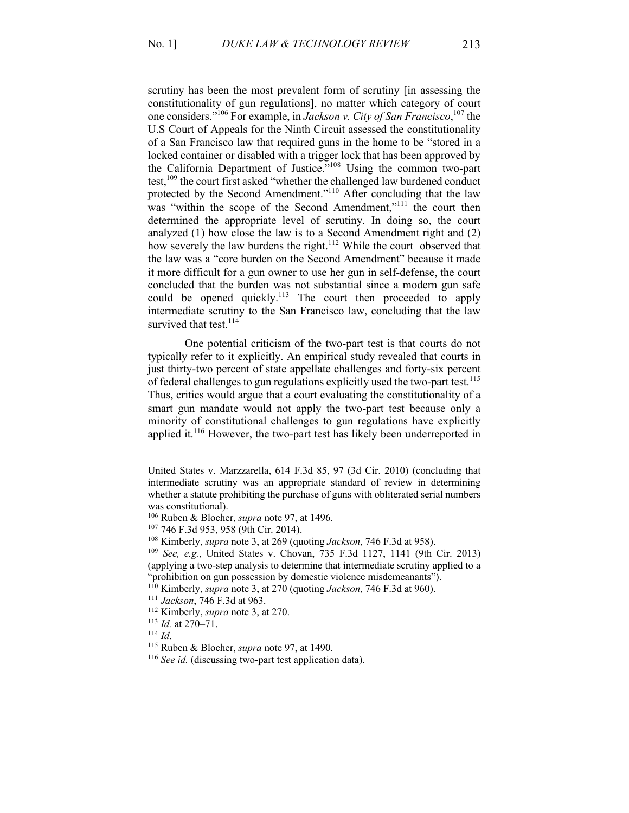scrutiny has been the most prevalent form of scrutiny [in assessing the constitutionality of gun regulations], no matter which category of court one considers."106 For example, in *Jackson v. City of San Francisco*, <sup>107</sup> the U.S Court of Appeals for the Ninth Circuit assessed the constitutionality of a San Francisco law that required guns in the home to be "stored in a locked container or disabled with a trigger lock that has been approved by the California Department of Justice."108 Using the common two-part test,<sup>109</sup> the court first asked "whether the challenged law burdened conduct protected by the Second Amendment."<sup>110</sup> After concluding that the law was "within the scope of the Second Amendment,"<sup>111</sup> the court then determined the appropriate level of scrutiny. In doing so, the court analyzed (1) how close the law is to a Second Amendment right and (2) how severely the law burdens the right.<sup>112</sup> While the court observed that the law was a "core burden on the Second Amendment" because it made it more difficult for a gun owner to use her gun in self-defense, the court concluded that the burden was not substantial since a modern gun safe could be opened quickly.<sup>113</sup> The court then proceeded to apply intermediate scrutiny to the San Francisco law, concluding that the law survived that test.  $114$ 

One potential criticism of the two-part test is that courts do not typically refer to it explicitly. An empirical study revealed that courts in just thirty-two percent of state appellate challenges and forty-six percent of federal challenges to gun regulations explicitly used the two-part test.<sup>115</sup> Thus, critics would argue that a court evaluating the constitutionality of a smart gun mandate would not apply the two-part test because only a minority of constitutional challenges to gun regulations have explicitly applied it.<sup>116</sup> However, the two-part test has likely been underreported in

United States v. Marzzarella, 614 F.3d 85, 97 (3d Cir. 2010) (concluding that intermediate scrutiny was an appropriate standard of review in determining whether a statute prohibiting the purchase of guns with obliterated serial numbers was constitutional).

<sup>106</sup> Ruben & Blocher, *supra* note 97, at 1496.

<sup>107</sup> 746 F.3d 953, 958 (9th Cir. 2014). 108 Kimberly, *supra* note 3, at 269 (quoting *Jackson*, 746 F.3d at 958).

<sup>109</sup> *See, e.g.*, United States v. Chovan, 735 F.3d 1127, 1141 (9th Cir. 2013) (applying a two-step analysis to determine that intermediate scrutiny applied to a "prohibition on gun possession by domestic violence misdemeanants").

<sup>&</sup>lt;sup>110</sup> Kimberly, *supra* note 3, at 270 (quoting *Jackson*, 746 F.3d at 960).

<sup>111</sup> *Jackson*, 746 F.3d at 963.

<sup>112</sup> Kimberly, *supra* note 3, at 270. 113 *Id.* at 270–71.

<sup>114</sup> *Id*.

<sup>115</sup> Ruben & Blocher, *supra* note 97, at 1490.

<sup>&</sup>lt;sup>116</sup> *See id.* (discussing two-part test application data).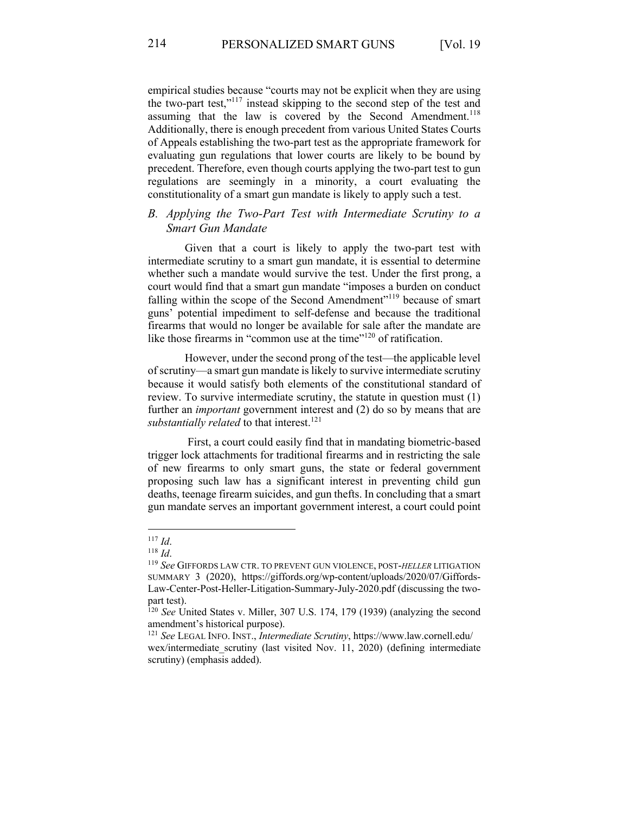empirical studies because "courts may not be explicit when they are using the two-part test,"117 instead skipping to the second step of the test and assuming that the law is covered by the Second Amendment.<sup>118</sup> Additionally, there is enough precedent from various United States Courts of Appeals establishing the two-part test as the appropriate framework for evaluating gun regulations that lower courts are likely to be bound by precedent. Therefore, even though courts applying the two-part test to gun regulations are seemingly in a minority, a court evaluating the constitutionality of a smart gun mandate is likely to apply such a test.

## *B. Applying the Two-Part Test with Intermediate Scrutiny to a Smart Gun Mandate*

Given that a court is likely to apply the two-part test with intermediate scrutiny to a smart gun mandate, it is essential to determine whether such a mandate would survive the test. Under the first prong, a court would find that a smart gun mandate "imposes a burden on conduct falling within the scope of the Second Amendment"<sup>119</sup> because of smart guns' potential impediment to self-defense and because the traditional firearms that would no longer be available for sale after the mandate are like those firearms in "common use at the time"<sup>120</sup> of ratification.

However, under the second prong of the test—the applicable level of scrutiny—a smart gun mandate is likely to survive intermediate scrutiny because it would satisfy both elements of the constitutional standard of review. To survive intermediate scrutiny, the statute in question must (1) further an *important* government interest and (2) do so by means that are *substantially related* to that interest.<sup>121</sup>

First, a court could easily find that in mandating biometric-based trigger lock attachments for traditional firearms and in restricting the sale of new firearms to only smart guns, the state or federal government proposing such law has a significant interest in preventing child gun deaths, teenage firearm suicides, and gun thefts. In concluding that a smart gun mandate serves an important government interest, a court could point

<sup>117</sup> *Id*.

<sup>118</sup> *Id*.

<sup>119</sup> *See* GIFFORDS LAW CTR. TO PREVENT GUN VIOLENCE, POST-*HELLER* LITIGATION SUMMARY 3 (2020), https://giffords.org/wp-content/uploads/2020/07/Giffords-Law-Center-Post-Heller-Litigation-Summary-July-2020.pdf (discussing the twopart test).

<sup>120</sup> *See* United States v. Miller, 307 U.S. 174, 179 (1939) (analyzing the second amendment's historical purpose).

<sup>121</sup> *See* LEGAL INFO. INST., *Intermediate Scrutiny*, https://www.law.cornell.edu/ wex/intermediate scrutiny (last visited Nov. 11, 2020) (defining intermediate scrutiny) (emphasis added).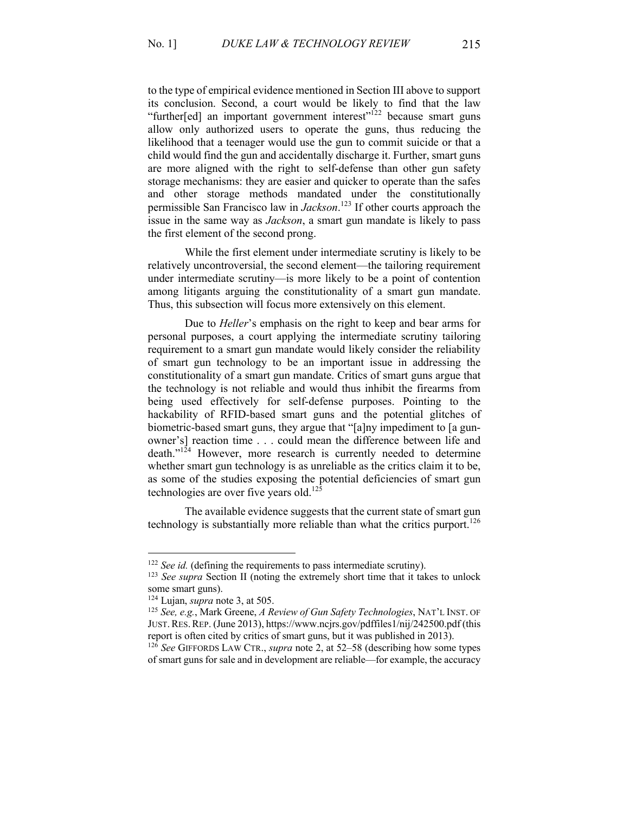to the type of empirical evidence mentioned in Section III above to support its conclusion. Second, a court would be likely to find that the law "further[ed] an important government interest"<sup>122</sup> because smart guns allow only authorized users to operate the guns, thus reducing the likelihood that a teenager would use the gun to commit suicide or that a child would find the gun and accidentally discharge it. Further, smart guns are more aligned with the right to self-defense than other gun safety storage mechanisms: they are easier and quicker to operate than the safes and other storage methods mandated under the constitutionally permissible San Francisco law in *Jackson*. <sup>123</sup> If other courts approach the issue in the same way as *Jackson*, a smart gun mandate is likely to pass the first element of the second prong.

While the first element under intermediate scrutiny is likely to be relatively uncontroversial, the second element—the tailoring requirement under intermediate scrutiny—is more likely to be a point of contention among litigants arguing the constitutionality of a smart gun mandate. Thus, this subsection will focus more extensively on this element.

Due to *Heller*'s emphasis on the right to keep and bear arms for personal purposes, a court applying the intermediate scrutiny tailoring requirement to a smart gun mandate would likely consider the reliability of smart gun technology to be an important issue in addressing the constitutionality of a smart gun mandate. Critics of smart guns argue that the technology is not reliable and would thus inhibit the firearms from being used effectively for self-defense purposes. Pointing to the hackability of RFID-based smart guns and the potential glitches of biometric-based smart guns, they argue that "[a]ny impediment to [a gunowner's] reaction time . . . could mean the difference between life and death."<sup>124</sup> However, more research is currently needed to determine whether smart gun technology is as unreliable as the critics claim it to be, as some of the studies exposing the potential deficiencies of smart gun technologies are over five years old. $125$ 

The available evidence suggests that the current state of smart gun technology is substantially more reliable than what the critics purport.<sup>126</sup>

<sup>&</sup>lt;sup>122</sup> *See id.* (defining the requirements to pass intermediate scrutiny).

<sup>123</sup> *See supra* Section II (noting the extremely short time that it takes to unlock some smart guns).

<sup>124</sup> Lujan, *supra* note 3, at 505.

<sup>125</sup> *See, e.g.*, Mark Greene, *A Review of Gun Safety Technologies*, NAT'L INST. OF JUST.RES.REP. (June 2013), https://www.ncjrs.gov/pdffiles1/nij/242500.pdf (this report is often cited by critics of smart guns, but it was published in 2013).

<sup>126</sup> *See* GIFFORDS LAW CTR., *supra* note 2, at 52–58 (describing how some types of smart guns for sale and in development are reliable—for example, the accuracy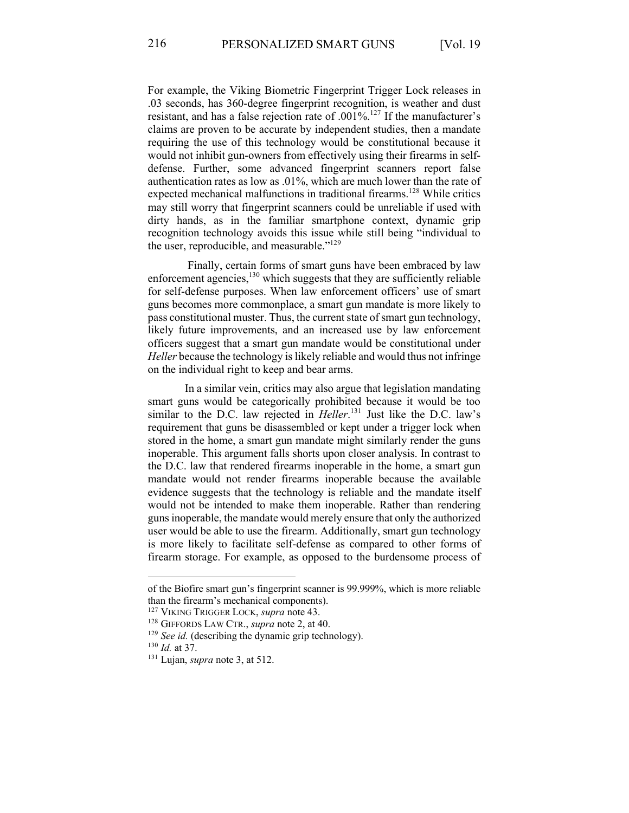For example, the Viking Biometric Fingerprint Trigger Lock releases in .03 seconds, has 360-degree fingerprint recognition, is weather and dust resistant, and has a false rejection rate of  $.001\%$ .<sup>127</sup> If the manufacturer's claims are proven to be accurate by independent studies, then a mandate requiring the use of this technology would be constitutional because it would not inhibit gun-owners from effectively using their firearms in selfdefense. Further, some advanced fingerprint scanners report false authentication rates as low as .01%, which are much lower than the rate of expected mechanical malfunctions in traditional firearms.<sup>128</sup> While critics may still worry that fingerprint scanners could be unreliable if used with dirty hands, as in the familiar smartphone context, dynamic grip recognition technology avoids this issue while still being "individual to the user, reproducible, and measurable."<sup>129</sup>

Finally, certain forms of smart guns have been embraced by law enforcement agencies,  $130$  which suggests that they are sufficiently reliable for self-defense purposes. When law enforcement officers' use of smart guns becomes more commonplace, a smart gun mandate is more likely to pass constitutional muster. Thus, the current state of smart gun technology, likely future improvements, and an increased use by law enforcement officers suggest that a smart gun mandate would be constitutional under *Heller* because the technology is likely reliable and would thus not infringe on the individual right to keep and bear arms.

In a similar vein, critics may also argue that legislation mandating smart guns would be categorically prohibited because it would be too similar to the D.C. law rejected in *Heller*. <sup>131</sup> Just like the D.C. law's requirement that guns be disassembled or kept under a trigger lock when stored in the home, a smart gun mandate might similarly render the guns inoperable. This argument falls shorts upon closer analysis. In contrast to the D.C. law that rendered firearms inoperable in the home, a smart gun mandate would not render firearms inoperable because the available evidence suggests that the technology is reliable and the mandate itself would not be intended to make them inoperable. Rather than rendering guns inoperable, the mandate would merely ensure that only the authorized user would be able to use the firearm. Additionally, smart gun technology is more likely to facilitate self-defense as compared to other forms of firearm storage. For example, as opposed to the burdensome process of

of the Biofire smart gun's fingerprint scanner is 99.999%, which is more reliable than the firearm's mechanical components).

<sup>127</sup> VIKING TRIGGER LOCK, *supra* note 43.

<sup>&</sup>lt;sup>128</sup> GIFFORDS LAW CTR., *supra* note 2, at 40.<br><sup>129</sup> *See id.* (describing the dynamic grip technology).

<sup>130</sup> *Id.* at 37.

<sup>131</sup> Lujan, *supra* note 3, at 512.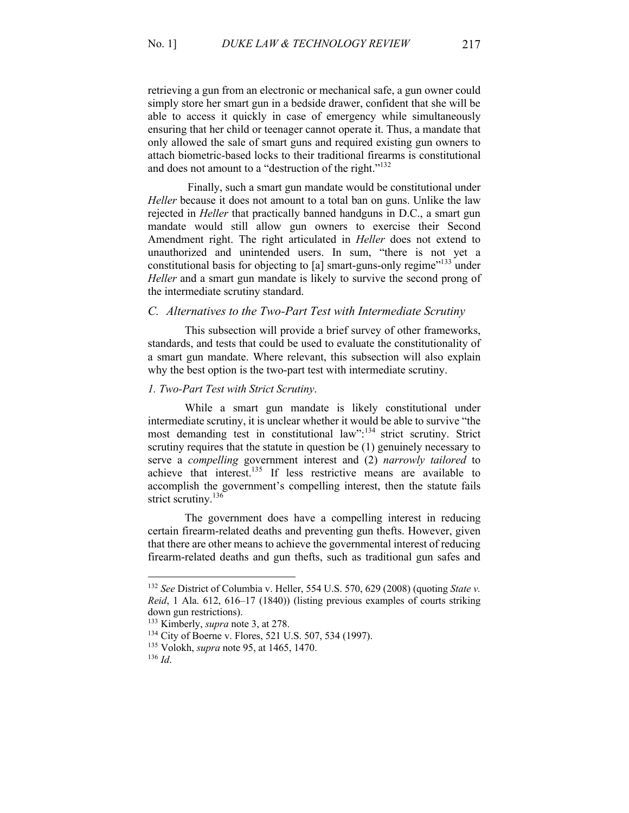retrieving a gun from an electronic or mechanical safe, a gun owner could simply store her smart gun in a bedside drawer, confident that she will be able to access it quickly in case of emergency while simultaneously ensuring that her child or teenager cannot operate it. Thus, a mandate that only allowed the sale of smart guns and required existing gun owners to attach biometric-based locks to their traditional firearms is constitutional and does not amount to a "destruction of the right."<sup>132</sup>

Finally, such a smart gun mandate would be constitutional under *Heller* because it does not amount to a total ban on guns. Unlike the law rejected in *Heller* that practically banned handguns in D.C., a smart gun mandate would still allow gun owners to exercise their Second Amendment right. The right articulated in *Heller* does not extend to unauthorized and unintended users. In sum, "there is not yet a constitutional basis for objecting to [a] smart-guns-only regime"<sup>133</sup> under *Heller* and a smart gun mandate is likely to survive the second prong of the intermediate scrutiny standard.

## *C. Alternatives to the Two-Part Test with Intermediate Scrutiny*

This subsection will provide a brief survey of other frameworks, standards, and tests that could be used to evaluate the constitutionality of a smart gun mandate. Where relevant, this subsection will also explain why the best option is the two-part test with intermediate scrutiny.

## *1. Two-Part Test with Strict Scrutiny*.

While a smart gun mandate is likely constitutional under intermediate scrutiny, it is unclear whether it would be able to survive "the most demanding test in constitutional law":<sup>134</sup> strict scrutiny. Strict scrutiny requires that the statute in question be (1) genuinely necessary to serve a *compelling* government interest and (2) *narrowly tailored* to achieve that interest.<sup>135</sup> If less restrictive means are available to accomplish the government's compelling interest, then the statute fails strict scrutiny.<sup>136</sup>

The government does have a compelling interest in reducing certain firearm-related deaths and preventing gun thefts. However, given that there are other means to achieve the governmental interest of reducing firearm-related deaths and gun thefts, such as traditional gun safes and

<sup>132</sup> *See* District of Columbia v. Heller, 554 U.S. 570, 629 (2008) (quoting *State v. Reid*, 1 Ala. 612, 616–17 (1840)) (listing previous examples of courts striking down gun restrictions).

<sup>133</sup> Kimberly, *supra* note 3, at 278.

<sup>134</sup> City of Boerne v. Flores, 521 U.S. 507, 534 (1997).

<sup>135</sup> Volokh, *supra* note 95, at 1465, 1470.

<sup>136</sup> *Id*.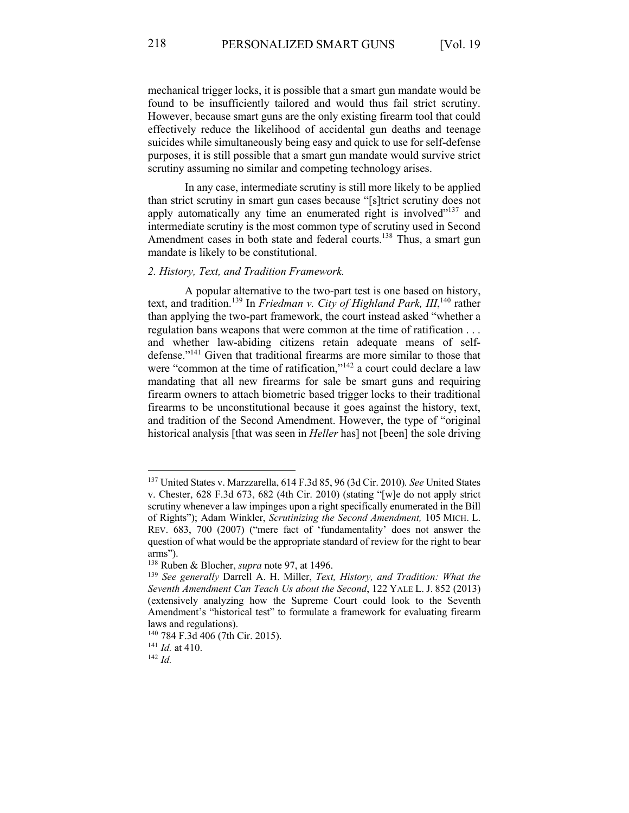mechanical trigger locks, it is possible that a smart gun mandate would be found to be insufficiently tailored and would thus fail strict scrutiny. However, because smart guns are the only existing firearm tool that could effectively reduce the likelihood of accidental gun deaths and teenage suicides while simultaneously being easy and quick to use for self-defense purposes, it is still possible that a smart gun mandate would survive strict scrutiny assuming no similar and competing technology arises.

In any case, intermediate scrutiny is still more likely to be applied than strict scrutiny in smart gun cases because "[s]trict scrutiny does not apply automatically any time an enumerated right is involved"<sup>137</sup> and intermediate scrutiny is the most common type of scrutiny used in Second Amendment cases in both state and federal courts.<sup>138</sup> Thus, a smart gun mandate is likely to be constitutional.

## *2. History, Text, and Tradition Framework.*

A popular alternative to the two-part test is one based on history, text, and tradition.<sup>139</sup> In *Friedman v. City of Highland Park, III*,<sup>140</sup> rather than applying the two-part framework, the court instead asked "whether a regulation bans weapons that were common at the time of ratification . . . and whether law-abiding citizens retain adequate means of selfdefense."<sup>141</sup> Given that traditional firearms are more similar to those that were "common at the time of ratification,"<sup>142</sup> a court could declare a law mandating that all new firearms for sale be smart guns and requiring firearm owners to attach biometric based trigger locks to their traditional firearms to be unconstitutional because it goes against the history, text, and tradition of the Second Amendment. However, the type of "original historical analysis [that was seen in *Heller* has] not [been] the sole driving

<sup>137</sup> United States v. Marzzarella, 614 F.3d 85, 96 (3d Cir. 2010)*. See* United States v. Chester, 628 F.3d 673, 682 (4th Cir. 2010) (stating "[w]e do not apply strict scrutiny whenever a law impinges upon a right specifically enumerated in the Bill of Rights"); Adam Winkler, *Scrutinizing the Second Amendment,* 105 MICH. L. REV. 683, 700 (2007) ("mere fact of 'fundamentality' does not answer the question of what would be the appropriate standard of review for the right to bear arms").

<sup>138</sup> Ruben & Blocher, *supra* note 97, at 1496.

<sup>139</sup> *See generally* Darrell A. H. Miller, *Text, History, and Tradition: What the Seventh Amendment Can Teach Us about the Second*, 122 YALE L. J. 852 (2013) (extensively analyzing how the Supreme Court could look to the Seventh Amendment's "historical test" to formulate a framework for evaluating firearm laws and regulations).

<sup>140</sup> 784 F.3d 406 (7th Cir. 2015).

<sup>141</sup> *Id.* at 410.

<sup>142</sup> *Id.*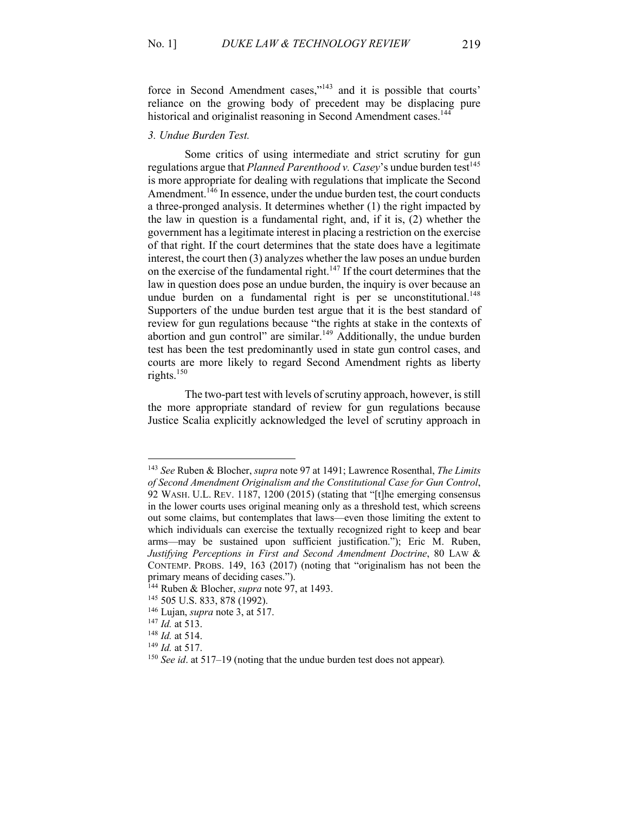force in Second Amendment cases,"<sup>143</sup> and it is possible that courts' reliance on the growing body of precedent may be displacing pure historical and originalist reasoning in Second Amendment cases.<sup>144</sup>

## *3. Undue Burden Test.*

Some critics of using intermediate and strict scrutiny for gun regulations argue that *Planned Parenthood v. Casey*'s undue burden test<sup>145</sup> is more appropriate for dealing with regulations that implicate the Second Amendment.<sup>146</sup> In essence, under the undue burden test, the court conducts a three-pronged analysis. It determines whether (1) the right impacted by the law in question is a fundamental right, and, if it is, (2) whether the government has a legitimate interest in placing a restriction on the exercise of that right. If the court determines that the state does have a legitimate interest, the court then (3) analyzes whether the law poses an undue burden on the exercise of the fundamental right.147 If the court determines that the law in question does pose an undue burden, the inquiry is over because an undue burden on a fundamental right is per se unconstitutional.<sup>148</sup> Supporters of the undue burden test argue that it is the best standard of review for gun regulations because "the rights at stake in the contexts of abortion and gun control" are similar.<sup>149</sup> Additionally, the undue burden test has been the test predominantly used in state gun control cases, and courts are more likely to regard Second Amendment rights as liberty rights.<sup>150</sup>

The two-part test with levels of scrutiny approach, however, is still the more appropriate standard of review for gun regulations because Justice Scalia explicitly acknowledged the level of scrutiny approach in

<sup>146</sup> Lujan, *supra* note 3, at 517.

<sup>143</sup> *See* Ruben & Blocher, *supra* note 97 at 1491; Lawrence Rosenthal, *The Limits of Second Amendment Originalism and the Constitutional Case for Gun Control*, 92 WASH. U.L. REV. 1187, 1200 (2015) (stating that "[t]he emerging consensus in the lower courts uses original meaning only as a threshold test, which screens out some claims, but contemplates that laws—even those limiting the extent to which individuals can exercise the textually recognized right to keep and bear arms—may be sustained upon sufficient justification."); Eric M. Ruben, *Justifying Perceptions in First and Second Amendment Doctrine*, 80 LAW & CONTEMP. PROBS. 149, 163 (2017) (noting that "originalism has not been the primary means of deciding cases.").

<sup>144</sup> Ruben & Blocher, *supra* note 97, at 1493.

<sup>145</sup> 505 U.S. 833, 878 (1992).

<sup>147</sup> *Id.* at 513.

<sup>148</sup> *Id.* at 514.

<sup>149</sup> *Id.* at 517.

<sup>150</sup> *See id*. at 517–19 (noting that the undue burden test does not appear)*.*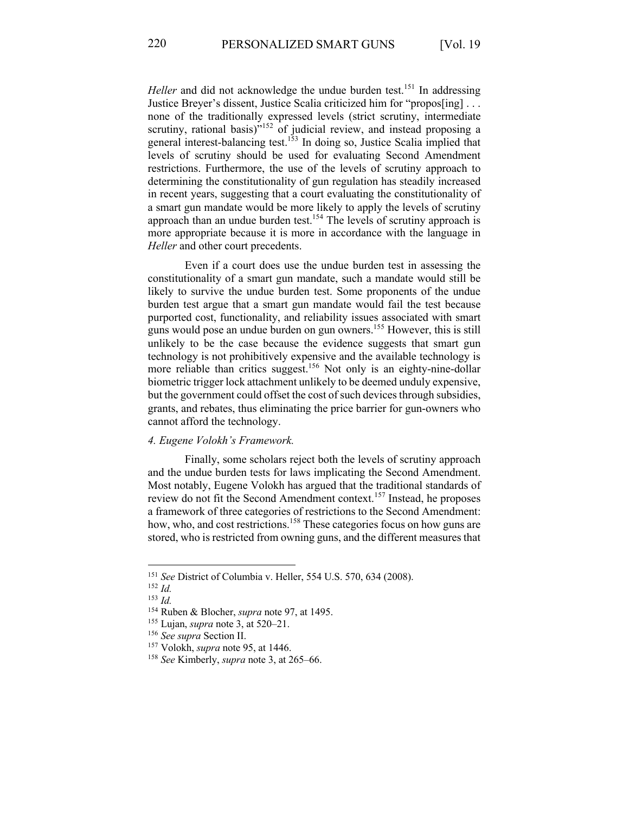*Heller* and did not acknowledge the undue burden test.<sup>151</sup> In addressing Justice Breyer's dissent, Justice Scalia criticized him for "propos[ing] . . . none of the traditionally expressed levels (strict scrutiny, intermediate scrutiny, rational basis)"<sup>152</sup> of judicial review, and instead proposing a general interest-balancing test.<sup>153</sup> In doing so, Justice Scalia implied that levels of scrutiny should be used for evaluating Second Amendment restrictions. Furthermore, the use of the levels of scrutiny approach to determining the constitutionality of gun regulation has steadily increased in recent years, suggesting that a court evaluating the constitutionality of a smart gun mandate would be more likely to apply the levels of scrutiny approach than an undue burden test.<sup>154</sup> The levels of scrutiny approach is more appropriate because it is more in accordance with the language in *Heller* and other court precedents.

Even if a court does use the undue burden test in assessing the constitutionality of a smart gun mandate, such a mandate would still be likely to survive the undue burden test. Some proponents of the undue burden test argue that a smart gun mandate would fail the test because purported cost, functionality, and reliability issues associated with smart guns would pose an undue burden on gun owners.155 However, this is still unlikely to be the case because the evidence suggests that smart gun technology is not prohibitively expensive and the available technology is more reliable than critics suggest.<sup>156</sup> Not only is an eighty-nine-dollar biometric trigger lock attachment unlikely to be deemed unduly expensive, but the government could offset the cost of such devices through subsidies, grants, and rebates, thus eliminating the price barrier for gun-owners who cannot afford the technology.

#### *4. Eugene Volokh's Framework.*

Finally, some scholars reject both the levels of scrutiny approach and the undue burden tests for laws implicating the Second Amendment. Most notably, Eugene Volokh has argued that the traditional standards of review do not fit the Second Amendment context.<sup>157</sup> Instead, he proposes a framework of three categories of restrictions to the Second Amendment: how, who, and cost restrictions.<sup>158</sup> These categories focus on how guns are stored, who is restricted from owning guns, and the different measures that

<sup>151</sup> *See* District of Columbia v. Heller, 554 U.S. 570, 634 (2008).

<sup>152</sup> *Id.*

<sup>153</sup> *Id.*

<sup>154</sup> Ruben & Blocher, *supra* note 97, at 1495.

<sup>155</sup> Lujan, *supra* note 3, at 520–21.

<sup>156</sup> *See supra* Section II.

<sup>157</sup> Volokh, *supra* note 95, at 1446.

<sup>158</sup> *See* Kimberly, *supra* note 3, at 265–66.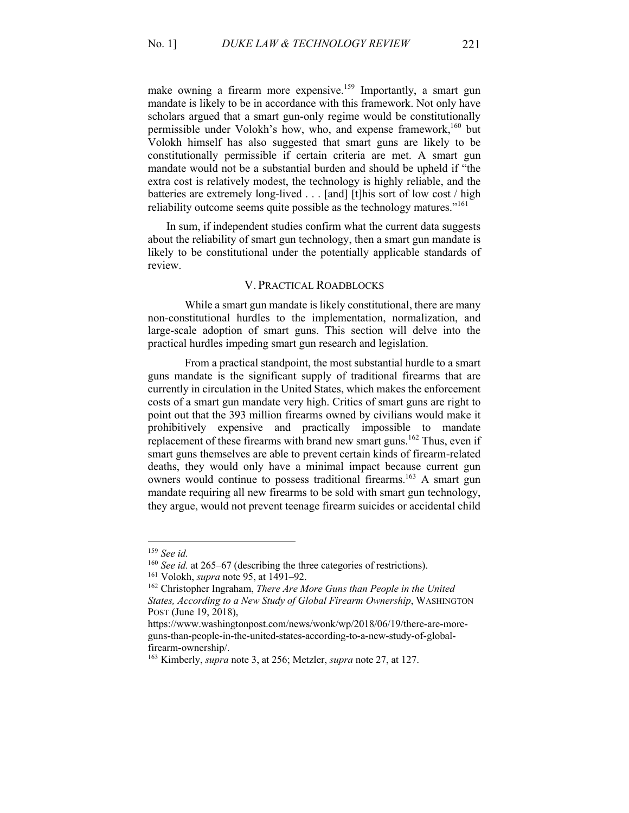make owning a firearm more expensive.<sup>159</sup> Importantly, a smart gun mandate is likely to be in accordance with this framework. Not only have scholars argued that a smart gun-only regime would be constitutionally permissible under Volokh's how, who, and expense framework,<sup>160</sup> but Volokh himself has also suggested that smart guns are likely to be constitutionally permissible if certain criteria are met. A smart gun mandate would not be a substantial burden and should be upheld if "the extra cost is relatively modest, the technology is highly reliable, and the batteries are extremely long-lived . . . [and] [t]his sort of low cost / high reliability outcome seems quite possible as the technology matures."<sup>161</sup>

In sum, if independent studies confirm what the current data suggests about the reliability of smart gun technology, then a smart gun mandate is likely to be constitutional under the potentially applicable standards of review.

#### V. PRACTICAL ROADBLOCKS

While a smart gun mandate is likely constitutional, there are many non-constitutional hurdles to the implementation, normalization, and large-scale adoption of smart guns. This section will delve into the practical hurdles impeding smart gun research and legislation.

From a practical standpoint, the most substantial hurdle to a smart guns mandate is the significant supply of traditional firearms that are currently in circulation in the United States, which makes the enforcement costs of a smart gun mandate very high. Critics of smart guns are right to point out that the 393 million firearms owned by civilians would make it prohibitively expensive and practically impossible to mandate replacement of these firearms with brand new smart guns.<sup>162</sup> Thus, even if smart guns themselves are able to prevent certain kinds of firearm-related deaths, they would only have a minimal impact because current gun owners would continue to possess traditional firearms.<sup>163</sup> A smart gun mandate requiring all new firearms to be sold with smart gun technology, they argue, would not prevent teenage firearm suicides or accidental child

<sup>159</sup> *See id.*

<sup>160</sup> *See id.* at 265–67 (describing the three categories of restrictions). <sup>161</sup> Volokh, *supra* note 95, at 1491–92.

<sup>162</sup> Christopher Ingraham, *There Are More Guns than People in the United* 

*States, According to a New Study of Global Firearm Ownership*, WASHINGTON POST (June 19, 2018),

https://www.washingtonpost.com/news/wonk/wp/2018/06/19/there-are-moreguns-than-people-in-the-united-states-according-to-a-new-study-of-globalfirearm-ownership/.

<sup>163</sup> Kimberly, *supra* note 3, at 256; Metzler, *supra* note 27, at 127.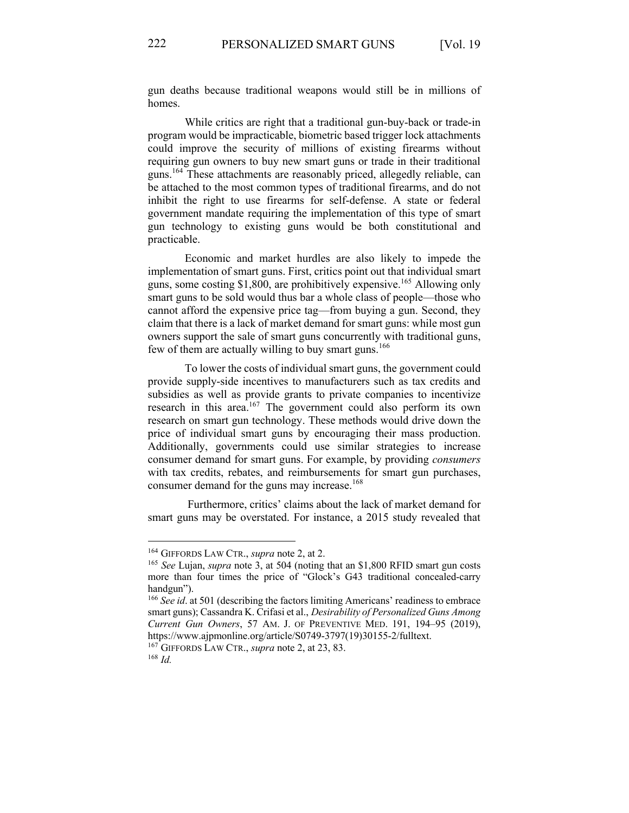gun deaths because traditional weapons would still be in millions of homes.

While critics are right that a traditional gun-buy-back or trade-in program would be impracticable, biometric based trigger lock attachments could improve the security of millions of existing firearms without requiring gun owners to buy new smart guns or trade in their traditional guns.<sup>164</sup> These attachments are reasonably priced, allegedly reliable, can be attached to the most common types of traditional firearms, and do not inhibit the right to use firearms for self-defense. A state or federal government mandate requiring the implementation of this type of smart gun technology to existing guns would be both constitutional and practicable.

Economic and market hurdles are also likely to impede the implementation of smart guns. First, critics point out that individual smart guns, some costing \$1,800, are prohibitively expensive.<sup>165</sup> Allowing only smart guns to be sold would thus bar a whole class of people—those who cannot afford the expensive price tag—from buying a gun. Second, they claim that there is a lack of market demand for smart guns: while most gun owners support the sale of smart guns concurrently with traditional guns, few of them are actually willing to buy smart guns.<sup>166</sup>

To lower the costs of individual smart guns, the government could provide supply-side incentives to manufacturers such as tax credits and subsidies as well as provide grants to private companies to incentivize research in this area.<sup>167</sup> The government could also perform its own research on smart gun technology. These methods would drive down the price of individual smart guns by encouraging their mass production. Additionally, governments could use similar strategies to increase consumer demand for smart guns. For example, by providing *consumers*  with tax credits, rebates, and reimbursements for smart gun purchases, consumer demand for the guns may increase.<sup>168</sup>

Furthermore, critics' claims about the lack of market demand for smart guns may be overstated. For instance, a 2015 study revealed that

<sup>164</sup> GIFFORDS LAW CTR., *supra* note 2, at 2.

<sup>165</sup> *See* Lujan, *supra* note 3, at 504 (noting that an \$1,800 RFID smart gun costs more than four times the price of "Glock's G43 traditional concealed-carry handgun").

<sup>166</sup> *See id*. at 501 (describing the factors limiting Americans' readiness to embrace smart guns); Cassandra K. Crifasi et al., *Desirability of Personalized Guns Among Current Gun Owners*, 57 AM. J. OF PREVENTIVE MED. 191, 194–95 (2019), https://www.ajpmonline.org/article/S0749-3797(19)30155-2/fulltext.

<sup>167</sup> GIFFORDS LAW CTR., *supra* note 2, at 23, 83.

<sup>168</sup> *Id.*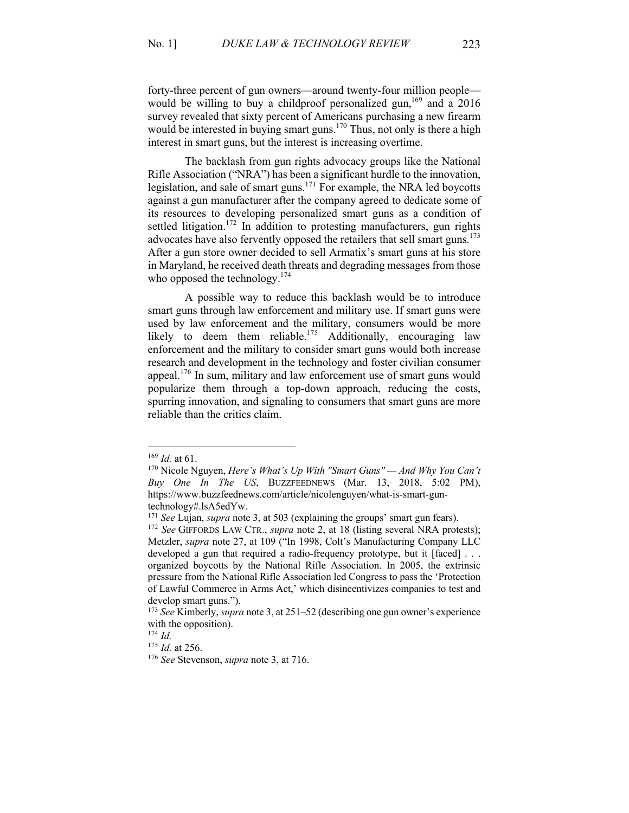forty-three percent of gun owners—around twenty-four million people would be willing to buy a childproof personalized gun,<sup>169</sup> and a  $2016$ survey revealed that sixty percent of Americans purchasing a new firearm would be interested in buying smart guns.<sup>170</sup> Thus, not only is there a high interest in smart guns, but the interest is increasing overtime.

The backlash from gun rights advocacy groups like the National Rifle Association ("NRA") has been a significant hurdle to the innovation, legislation, and sale of smart guns.<sup>171</sup> For example, the NRA led boycotts against a gun manufacturer after the company agreed to dedicate some of its resources to developing personalized smart guns as a condition of settled litigation.<sup>172</sup> In addition to protesting manufacturers, gun rights advocates have also fervently opposed the retailers that sell smart guns.<sup>173</sup> After a gun store owner decided to sell Armatix's smart guns at his store in Maryland, he received death threats and degrading messages from those who opposed the technology.<sup>174</sup>

A possible way to reduce this backlash would be to introduce smart guns through law enforcement and military use. If smart guns were used by law enforcement and the military, consumers would be more likely to deem them reliable.<sup>175</sup> Additionally, encouraging law enforcement and the military to consider smart guns would both increase research and development in the technology and foster civilian consumer appeal.<sup>176</sup> In sum, military and law enforcement use of smart guns would popularize them through a top-down approach, reducing the costs, spurring innovation, and signaling to consumers that smart guns are more reliable than the critics claim.

<sup>169</sup> *Id.* at 61.

<sup>170</sup> Nicole Nguyen, *Here's What's Up With "Smart Guns" — And Why You Can't Buy One In The US*, BUZZFEEDNEWS (Mar. 13, 2018, 5:02 PM), https://www.buzzfeednews.com/article/nicolenguyen/what-is-smart-guntechnology#.lsA5edYw.

<sup>171</sup> *See* Lujan, *supra* note 3, at 503 (explaining the groups' smart gun fears).

<sup>172</sup> *See* GIFFORDS LAW CTR., *supra* note 2, at 18 (listing several NRA protests); Metzler, *supra* note 27, at 109 ("In 1998, Colt's Manufacturing Company LLC developed a gun that required a radio-frequency prototype, but it [faced] . . . organized boycotts by the National Rifle Association. In 2005, the extrinsic pressure from the National Rifle Association led Congress to pass the 'Protection of Lawful Commerce in Arms Act,' which disincentivizes companies to test and develop smart guns.").

<sup>173</sup> *See* Kimberly, *supra* note 3, at 251–52 (describing one gun owner's experience with the opposition).

<sup>174</sup> *Id.*

<sup>175</sup> *Id.* at 256.

<sup>176</sup> *See* Stevenson, *supra* note 3, at 716.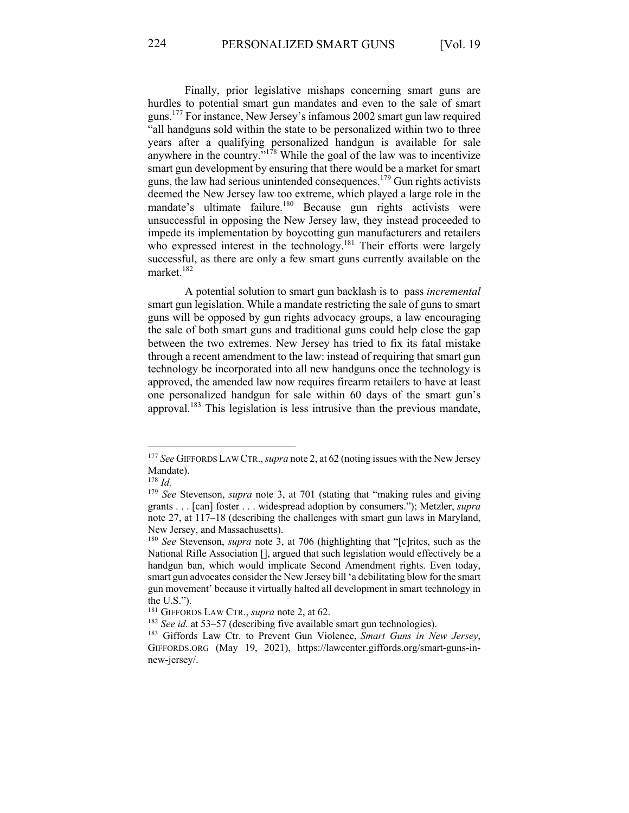Finally, prior legislative mishaps concerning smart guns are hurdles to potential smart gun mandates and even to the sale of smart guns.177 For instance, New Jersey's infamous 2002 smart gun law required "all handguns sold within the state to be personalized within two to three years after a qualifying personalized handgun is available for sale anywhere in the country."<sup>178</sup> While the goal of the law was to incentivize smart gun development by ensuring that there would be a market for smart guns, the law had serious unintended consequences.<sup>179</sup> Gun rights activists deemed the New Jersey law too extreme, which played a large role in the mandate's ultimate failure.<sup>180</sup> Because gun rights activists were unsuccessful in opposing the New Jersey law, they instead proceeded to impede its implementation by boycotting gun manufacturers and retailers who expressed interest in the technology.<sup>181</sup> Their efforts were largely successful, as there are only a few smart guns currently available on the market.<sup>182</sup>

A potential solution to smart gun backlash is to pass *incremental* smart gun legislation. While a mandate restricting the sale of guns to smart guns will be opposed by gun rights advocacy groups, a law encouraging the sale of both smart guns and traditional guns could help close the gap between the two extremes. New Jersey has tried to fix its fatal mistake through a recent amendment to the law: instead of requiring that smart gun technology be incorporated into all new handguns once the technology is approved, the amended law now requires firearm retailers to have at least one personalized handgun for sale within 60 days of the smart gun's approval.<sup>183</sup> This legislation is less intrusive than the previous mandate,

<sup>177</sup> *See* GIFFORDS LAW CTR.,*supra* note 2, at 62 (noting issues with the New Jersey Mandate).

<sup>178</sup> *Id.*

<sup>179</sup> *See* Stevenson, *supra* note 3, at 701 (stating that "making rules and giving grants . . . [can] foster . . . widespread adoption by consumers."); Metzler, *supra*  note 27, at 117–18 (describing the challenges with smart gun laws in Maryland, New Jersey, and Massachusetts).

<sup>180</sup> *See* Stevenson, *supra* note 3, at 706 (highlighting that "[c]ritcs, such as the National Rifle Association [], argued that such legislation would effectively be a handgun ban, which would implicate Second Amendment rights. Even today, smart gun advocates consider the New Jersey bill 'a debilitating blow for the smart gun movement' because it virtually halted all development in smart technology in the U.S.").

<sup>181</sup> GIFFORDS LAW CTR., *supra* note 2, at 62.

<sup>&</sup>lt;sup>182</sup> *See id.* at 53–57 (describing five available smart gun technologies).

<sup>183</sup> Giffords Law Ctr. to Prevent Gun Violence, *Smart Guns in New Jersey*, GIFFORDS.ORG (May 19, 2021), https://lawcenter.giffords.org/smart-guns-innew-jersey/.